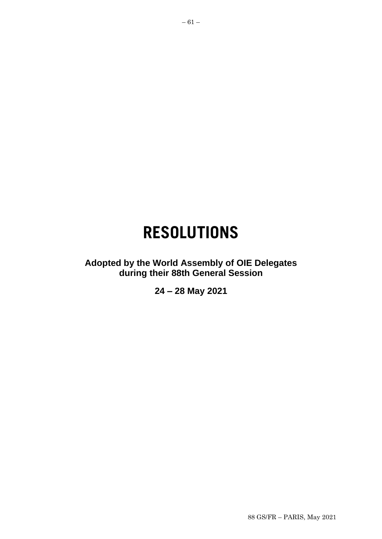# **RESOLUTIONS**

**Adopted by the World Assembly of OIE Delegates during their 88th General Session**

**24 – 28 May 2021**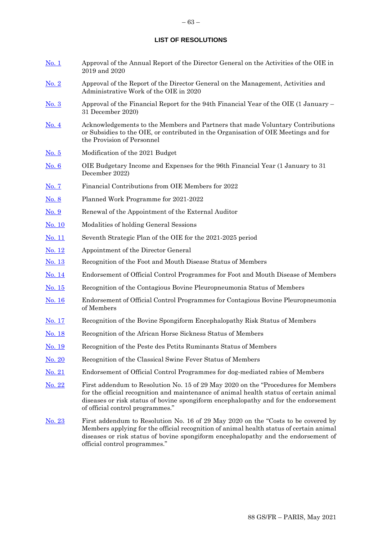#### **LIST OF RESOLUTIONS**

[No. 1](#page-4-0) Approval of the Annual Report of the Director General on the Activities of the OIE in 2019 and 2020 [No. 2](#page-5-0) Approval of the Report of the Director General on the Management, Activities and Administrative Work of the OIE in 2020 [No. 3](#page-6-0) Approval of the Financial Report for the 94th Financial Year of the OIE (1 January – 31 December 2020) [No. 4](#page-7-0) Acknowledgements to the Members and Partners that made Voluntary Contributions or Subsidies to the OIE, or contributed in the Organisation of OIE Meetings and for the Provision of Personnel [No. 5](#page-8-0) Modification of the 2021 Budget [No. 6](#page-10-0) OIE Budgetary Income and Expenses for the 96th Financial Year (1 January to 31 December 2022) [No. 7](#page-12-0) Financial Contributions from OIE Members for 2022 [No. 8](#page-13-0) Planned Work Programme for 2021-2022 [No. 9](#page-14-0) Renewal of the Appointment of the External Auditor [No. 10](#page-15-0) Modalities of holding General Sessions [No. 11](#page-17-0) Seventh Strategic Plan of the OIE for the 2021-2025 period [No. 12](#page-18-0) Appointment of the Director General No. 13 Recognition of the Foot and Mouth Disease Status of Members No. 14 Endorsement of Official Control Programmes for Foot and Mouth Disease of Members No. 15 Recognition of the Contagious Bovine Pleuropneumonia Status of Members [No. 16](#page-27-0) Endorsement of Official Control Programmes for Contagious Bovine Pleuropneumonia of Members [No. 17](#page-28-0) Recognition of the Bovine Spongiform Encephalopathy Risk Status of Members [No. 18](#page-30-0) Recognition of the African Horse Sickness Status of Members [No. 19](#page-32-0) Recognition of the Peste des Petits Ruminants Status of Members [No. 20](#page-34-0) Recognition of the Classical Swine Fever Status of Members [No. 21](#page-36-0) Endorsement of Official Control Programmes for dog-mediated rabies of Members [No. 22](#page-37-0) First addendum to Resolution No. 15 of 29 May 2020 on the "Procedures for Members for the official recognition and maintenance of animal health status of certain animal diseases or risk status of bovine spongiform encephalopathy and for the endorsement of official control programmes." [No. 2](#page-38-0)3 First addendum to Resolution No. 16 of 29 May 2020 on the "Costs to be covered by Members applying for the official recognition of animal health status of certain animal diseases or risk status of bovine spongiform encephalopathy and the endorsement of

official control programmes."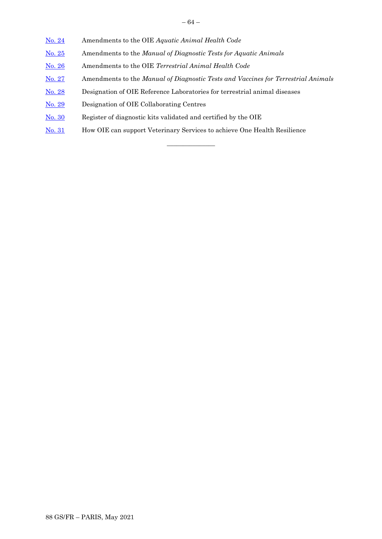– 64 –

- [No. 2](#page-39-0)4 Amendments to the OIE *Aquatic Animal Health Code*
- [No. 25](#page-40-0) Amendments to the *Manual of Diagnostic Tests for Aquatic Animals*
- [No. 26](#page-41-0) Amendments to the OIE *Terrestrial Animal Health Code*
- [No. 27](#page-45-0) Amendments to the *Manual of Diagnostic Tests and Vaccines for Terrestrial Animals*

 $\overline{\phantom{a}}$  , where  $\overline{\phantom{a}}$ 

- [No. 28](#page-47-0) Designation of OIE Reference Laboratories for terrestrial animal diseases
- [No. 29](#page-49-0) Designation of OIE Collaborating Centres
- [No. 30](#page-51-0) Register of diagnostic kits validated and certified by the OIE
- [No. 3](#page-52-0)1 How OIE can support Veterinary Services to achieve One Health Resilience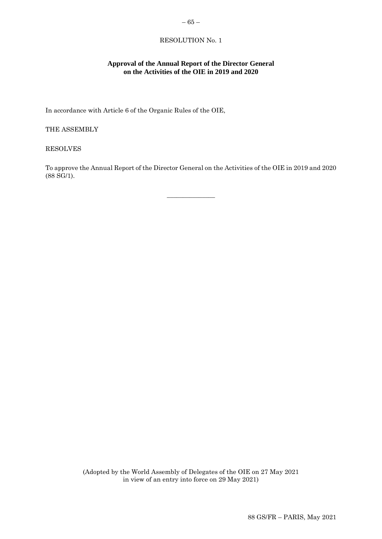# <span id="page-4-0"></span>**Approval of the Annual Report of the Director General on the Activities of the OIE in 2019 and 2020**

In accordance with Article 6 of the Organic Rules of the OIE,

THE ASSEMBLY

RESOLVES

To approve the Annual Report of the Director General on the Activities of the OIE in 2019 and 2020 (88 SG/1).

 $\overline{\phantom{a}}$  , where  $\overline{\phantom{a}}$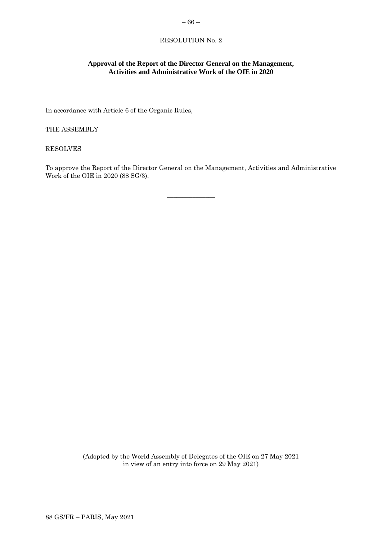# <span id="page-5-0"></span>**Approval of the Report of the Director General on the Management, Activities and Administrative Work of the OIE in 2020**

In accordance with Article 6 of the Organic Rules,

THE ASSEMBLY

RESOLVES

To approve the Report of the Director General on the Management, Activities and Administrative Work of the OIE in 2020 (88 SG/3).

 $\overline{\phantom{a}}$  , where  $\overline{\phantom{a}}$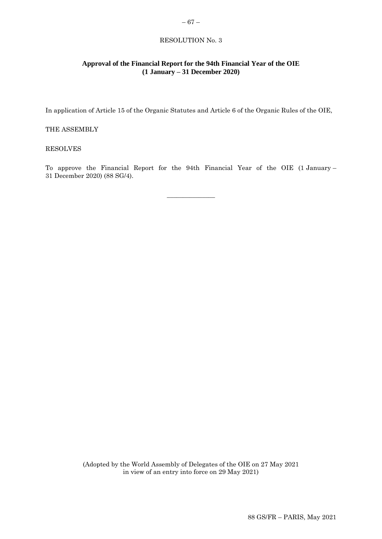# <span id="page-6-0"></span>**Approval of the Financial Report for the 94th Financial Year of the OIE (1 January – 31 December 2020)**

In application of Article 15 of the Organic Statutes and Article 6 of the Organic Rules of the OIE,

# THE ASSEMBLY

#### RESOLVES

To approve the Financial Report for the 94th Financial Year of the OIE (1 January – 31 December 2020) (88 SG/4).

 $\overline{\phantom{a}}$  , where  $\overline{\phantom{a}}$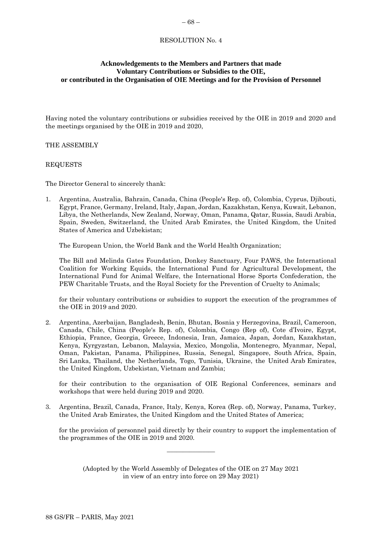# <span id="page-7-0"></span>**Acknowledgements to the Members and Partners that made Voluntary Contributions or Subsidies to the OIE, or contributed in the Organisation of OIE Meetings and for the Provision of Personnel**

Having noted the voluntary contributions or subsidies received by the OIE in 2019 and 2020 and the meetings organised by the OIE in 2019 and 2020,

# THE ASSEMBLY

# REQUESTS

The Director General to sincerely thank:

1. Argentina, Australia, Bahrain, Canada, China (People's Rep. of), Colombia, Cyprus, Djibouti, Egypt, France, Germany, Ireland, Italy, Japan, Jordan, Kazakhstan, Kenya, Kuwait, Lebanon, Libya, the Netherlands, New Zealand, Norway, Oman, Panama, Qatar, Russia, Saudi Arabia, Spain, Sweden, Switzerland, the United Arab Emirates, the United Kingdom, the United States of America and Uzbekistan;

The European Union, the World Bank and the World Health Organization;

The Bill and Melinda Gates Foundation, Donkey Sanctuary, Four PAWS, the International Coalition for Working Equids, the International Fund for Agricultural Development, the International Fund for Animal Welfare, the International Horse Sports Confederation, the PEW Charitable Trusts, and the Royal Society for the Prevention of Cruelty to Animals;

for their voluntary contributions or subsidies to support the execution of the programmes of the OIE in 2019 and 2020.

2. Argentina, Azerbaijan, Bangladesh, Benin, Bhutan, Bosnia y Herzegovina, Brazil, Cameroon, Canada, Chile, China (People's Rep. of), Colombia, Congo (Rep of), Cote d'Ivoire, Egypt, Ethiopia, France, Georgia, Greece, Indonesia, Iran, Jamaica, Japan, Jordan, Kazakhstan, Kenya, Kyrgyzstan, Lebanon, Malaysia, Mexico, Mongolia, Montenegro, Myanmar, Nepal, Oman, Pakistan, Panama, Philippines, Russia, Senegal, Singapore, South Africa, Spain, Sri Lanka, Thailand, the Netherlands, Togo, Tunisia, Ukraine, the United Arab Emirates, the United Kingdom, Uzbekistan, Vietnam and Zambia;

for their contribution to the organisation of OIE Regional Conferences, seminars and workshops that were held during 2019 and 2020.

3. Argentina, Brazil, Canada, France, Italy, Kenya, Korea (Rep. of), Norway, Panama, Turkey, the United Arab Emirates, the United Kingdom and the United States of America;

for the provision of personnel paid directly by their country to support the implementation of the programmes of the OIE in 2019 and 2020.

(Adopted by the World Assembly of Delegates of the OIE on 27 May 2021 in view of an entry into force on 29 May 2021)

 $\overline{\phantom{a}}$  , where  $\overline{\phantom{a}}$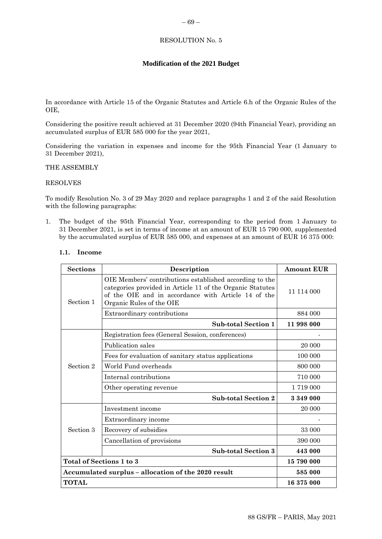# <span id="page-8-0"></span>**Modification of the 2021 Budget**

In accordance with Article 15 of the Organic Statutes and Article 6.h of the Organic Rules of the OIE,

Considering the positive result achieved at 31 December 2020 (94th Financial Year), providing an accumulated surplus of EUR 585 000 for the year 2021,

Considering the variation in expenses and income for the 95th Financial Year (1 January to 31 December 2021),

# THE ASSEMBLY

# RESOLVES

To modify Resolution No. 3 of 29 May 2020 and replace paragraphs 1 and 2 of the said Resolution with the following paragraphs:

1. The budget of the 95th Financial Year, corresponding to the period from 1 January to 31 December 2021, is set in terms of income at an amount of EUR 15 790 000, supplemented by the accumulated surplus of EUR 585 000, and expenses at an amount of EUR 16 375 000:

| <b>Sections</b>          | Description                                                                                                                                                                                             | <b>Amount EUR</b> |
|--------------------------|---------------------------------------------------------------------------------------------------------------------------------------------------------------------------------------------------------|-------------------|
| Section 1                | OIE Members' contributions established according to the<br>categories provided in Article 11 of the Organic Statutes<br>of the OIE and in accordance with Article 14 of the<br>Organic Rules of the OIE | 11 114 000        |
|                          | Extraordinary contributions                                                                                                                                                                             | 884 000           |
|                          | <b>Sub-total Section 1</b>                                                                                                                                                                              | 11 998 000        |
|                          | Registration fees (General Session, conferences)                                                                                                                                                        |                   |
|                          | Publication sales                                                                                                                                                                                       | 20 000            |
|                          | Fees for evaluation of sanitary status applications                                                                                                                                                     | 100 000           |
| Section 2                | World Fund overheads                                                                                                                                                                                    | 800 000           |
|                          | Internal contributions                                                                                                                                                                                  | 710 000           |
|                          | Other operating revenue                                                                                                                                                                                 | 1719 000          |
|                          | <b>Sub-total Section 2</b>                                                                                                                                                                              | 3 349 000         |
|                          | Investment income                                                                                                                                                                                       | 20 000            |
|                          | Extraordinary income                                                                                                                                                                                    |                   |
| Section 3                | Recovery of subsidies                                                                                                                                                                                   | 33 000            |
|                          | Cancellation of provisions                                                                                                                                                                              | 390 000           |
|                          | <b>Sub-total Section 3</b>                                                                                                                                                                              | 443 000           |
| Total of Sections 1 to 3 |                                                                                                                                                                                                         | 15 790 000        |
|                          | Accumulated surplus - allocation of the 2020 result                                                                                                                                                     | 585 000           |
| <b>TOTAL</b>             |                                                                                                                                                                                                         | 16 375 000        |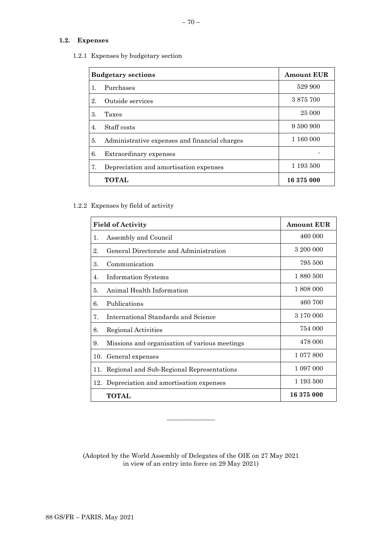# **1.2. Expenses**

1.2.1 Expenses by budgetary section

| <b>Budgetary sections</b> |                                               | <b>Amount EUR</b> |
|---------------------------|-----------------------------------------------|-------------------|
|                           | Purchases                                     | 529 900           |
| 2.                        | Outside services                              | 3875700           |
| 3.                        | Taxes                                         | 25 000            |
| 4.                        | Staff costs                                   | 9 590 900         |
| 5.                        | Administrative expenses and financial charges | 1 160 000         |
| 6.                        | Extraordinary expenses                        |                   |
| 7.                        | Depreciation and amortisation expenses        | 1 193 500         |
|                           | <b>TOTAL</b>                                  | 16 375 000        |

1.2.2 Expenses by field of activity

| <b>Field of Activity</b> |                                               | <b>Amount EUR</b> |
|--------------------------|-----------------------------------------------|-------------------|
| 1.                       | Assembly and Council                          | 460 000           |
| 2.                       | General Directorate and Administration        | 3 200 000         |
| 3.                       | Communication                                 | 795 500           |
| 4.                       | <b>Information Systems</b>                    | 1 880 500         |
| 5.                       | Animal Health Information                     | 1 808 000         |
| 6.                       | Publications                                  | 460 700           |
| 7.                       | International Standards and Science           | 3 170 000         |
| 8.                       | Regional Activities                           | 754 000           |
| 9.                       | Missions and organisation of various meetings | 478 000           |
| 10.                      | General expenses                              | 1 077 800         |
| 11.                      | Regional and Sub-Regional Representations     | 1 097 000         |
|                          | 12. Depreciation and amortisation expenses    | 1 193 500         |
|                          | TOTAL                                         | 16375000          |

(Adopted by the World Assembly of Delegates of the OIE on 27 May 2021 in view of an entry into force on 29 May 2021)

 $\overline{\phantom{a}}$  , where  $\overline{\phantom{a}}$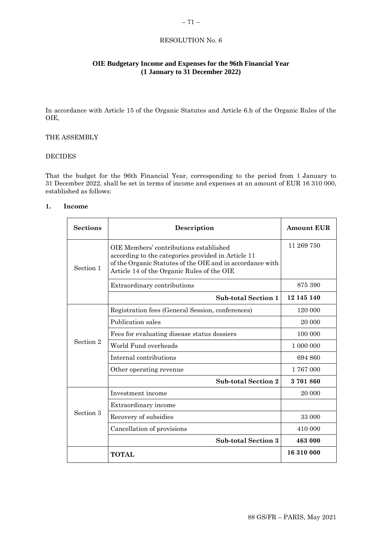# <span id="page-10-0"></span>**OIE Budgetary Income and Expenses for the 96th Financial Year (1 January to 31 December 2022)**

In accordance with Article 15 of the Organic Statutes and Article 6.h of the Organic Rules of the OIE,

# THE ASSEMBLY

# DECIDES

That the budget for the 96th Financial Year, corresponding to the period from 1 January to 31 December 2022, shall be set in terms of income and expenses at an amount of EUR 16 310 000, established as follows:

# **1. Income**

| <b>Sections</b> | Description                                                                                                                                                                                             | <b>Amount EUR</b> |
|-----------------|---------------------------------------------------------------------------------------------------------------------------------------------------------------------------------------------------------|-------------------|
| Section 1       | OIE Members' contributions established<br>according to the categories provided in Article 11<br>of the Organic Statutes of the OIE and in accordance with<br>Article 14 of the Organic Rules of the OIE | 11 269 750        |
|                 | Extraordinary contributions                                                                                                                                                                             | 875 390           |
|                 | <b>Sub-total Section 1</b>                                                                                                                                                                              | 12 145 140        |
|                 | Registration fees (General Session, conferences)                                                                                                                                                        | 120 000           |
|                 | Publication sales                                                                                                                                                                                       | 20 000            |
|                 | Fees for evaluating disease status dossiers                                                                                                                                                             | 100 000           |
| Section 2       | World Fund overheads                                                                                                                                                                                    | 1 000 000         |
|                 | Internal contributions                                                                                                                                                                                  | 694 860           |
|                 | Other operating revenue                                                                                                                                                                                 | 1767000           |
|                 | <b>Sub-total Section 2</b>                                                                                                                                                                              | 3701860           |
|                 | Investment income                                                                                                                                                                                       | 20 000            |
|                 | Extraordinary income                                                                                                                                                                                    |                   |
| Section 3       | Recovery of subsidies                                                                                                                                                                                   | 33 000            |
|                 | Cancellation of provisions                                                                                                                                                                              | 410 000           |
|                 | <b>Sub-total Section 3</b>                                                                                                                                                                              | 463 000           |
|                 | <b>TOTAL</b>                                                                                                                                                                                            | 16 310 000        |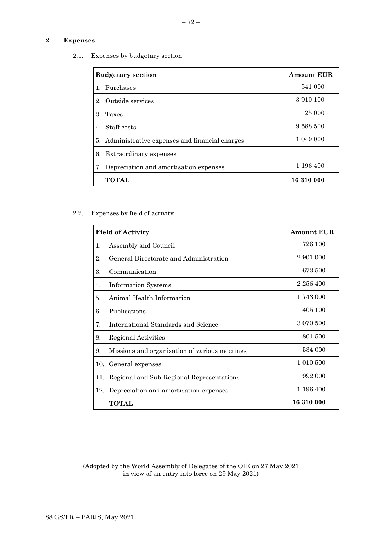# **2. Expenses**

2.1. Expenses by budgetary section

| <b>Budgetary section</b>                         | <b>Amount EUR</b> |
|--------------------------------------------------|-------------------|
| 1. Purchases                                     | 541 000           |
| 2. Outside services                              | 3 910 100         |
| 3. Taxes                                         | 25 000            |
| 4. Staff costs                                   | 9 588 500         |
| 5. Administrative expenses and financial charges | 1 049 000         |
| 6. Extraordinary expenses                        |                   |
| 7. Depreciation and amortisation expenses        | 1 196 400         |
| <b>TOTAL</b>                                     | 16 310 000        |

# 2.2. Expenses by field of activity

| <b>Field of Activity</b> |                                               | <b>Amount EUR</b> |
|--------------------------|-----------------------------------------------|-------------------|
| $\mathbf{1}$ .           | Assembly and Council                          | 726 100           |
| 2.                       | General Directorate and Administration        | 2 901 000         |
| 3.                       | Communication                                 | 673 500           |
| 4.                       | <b>Information Systems</b>                    | 2 256 400         |
| 5.                       | Animal Health Information                     | 1743 000          |
| 6.                       | Publications                                  | 405 100           |
| 7.                       | International Standards and Science           | 3 0 70 500        |
| 8.                       | Regional Activities                           | 801 500           |
| 9.                       | Missions and organisation of various meetings | 534 000           |
| 10.                      | General expenses                              | 1 010 500         |
| 11.                      | Regional and Sub-Regional Representations     | 992 000           |
| 12.                      | Depreciation and amortisation expenses        | 1 196 400         |
|                          | <b>TOTAL</b>                                  | 16 310 000        |

(Adopted by the World Assembly of Delegates of the OIE on 27 May 2021 in view of an entry into force on 29 May 2021)

\_\_\_\_\_\_\_\_\_\_\_\_\_\_\_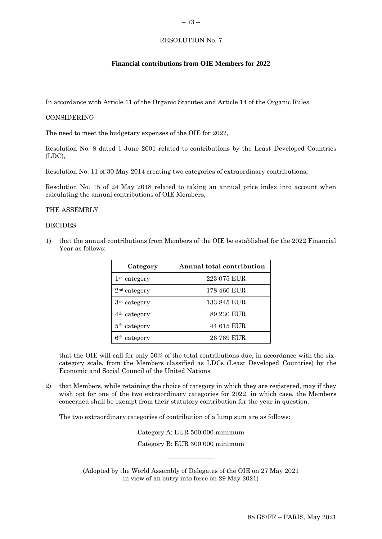# <span id="page-12-0"></span>**Financial contributions from OIE Members for 2022**

In accordance with Article 11 of the Organic Statutes and Article 14 of the Organic Rules,

#### CONSIDERING

The need to meet the budgetary expenses of the OIE for 2022,

Resolution No. 8 dated 1 June 2001 related to contributions by the Least Developed Countries (LDC),

Resolution No. 11 of 30 May 2014 creating two categories of extraordinary contributions,

Resolution No. 15 of 24 May 2018 related to taking an annual price index into account when calculating the annual contributions of OIE Members,

#### THE ASSEMBLY

#### **DECIDES**

1) that the annual contributions from Members of the OIE be established for the 2022 Financial Year as follows:

| Category                 | Annual total contribution |
|--------------------------|---------------------------|
| 1 <sup>st</sup> category | 223 075 EUR               |
| 2 <sup>nd</sup> category | 178 460 EUR               |
| 3 <sup>rd</sup> category | 133 845 EUR               |
| 4 <sup>th</sup> category | 89 230 EUR                |
| 5 <sup>th</sup> category | 44 615 EUR                |
| 6 <sup>th</sup> category | 26 769 EUR                |

that the OIE will call for only 50% of the total contributions due, in accordance with the sixcategory scale, from the Members classified as LDCs (Least Developed Countries) by the Economic and Social Council of the United Nations.

2) that Members, while retaining the choice of category in which they are registered, may if they wish opt for one of the two extraordinary categories for 2022, in which case, the Members concerned shall be exempt from their statutory contribution for the year in question.

The two extraordinary categories of contribution of a lump sum are as follows:

Category A: EUR 500 000 minimum Category B: EUR 300 000 minimum

 $\overline{\phantom{a}}$  , where  $\overline{\phantom{a}}$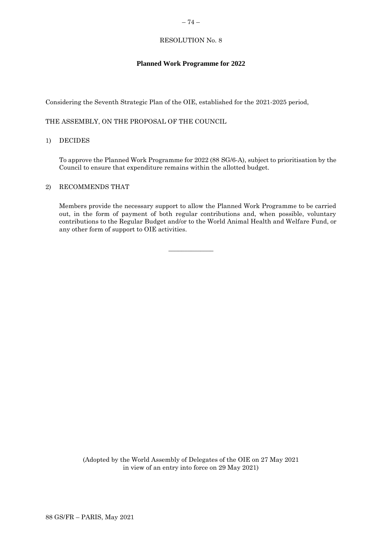# <span id="page-13-0"></span>**Planned Work Programme for 2022**

Considering the Seventh Strategic Plan of the OIE, established for the 2021-2025 period,

THE ASSEMBLY, ON THE PROPOSAL OF THE COUNCIL

#### 1) DECIDES

To approve the Planned Work Programme for 2022 (88 SG/6-A), subject to prioritisation by the Council to ensure that expenditure remains within the allotted budget.

# 2) RECOMMENDS THAT

Members provide the necessary support to allow the Planned Work Programme to be carried out, in the form of payment of both regular contributions and, when possible, voluntary contributions to the Regular Budget and/or to the World Animal Health and Welfare Fund, or any other form of support to OIE activities.

 $\overline{\phantom{a}}$  , where  $\overline{\phantom{a}}$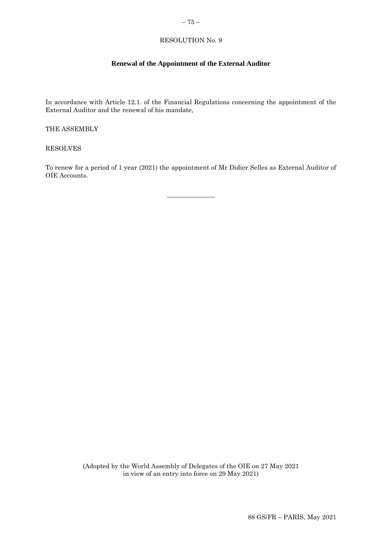# <span id="page-14-0"></span> $-75-$

# RESOLUTION No. 9

# **Renewal of the Appointment of the External Auditor**

In accordance with Article 12.1. of the Financial Regulations concerning the appointment of the External Auditor and the renewal of his mandate,

THE ASSEMBLY

RESOLVES

To renew for a period of 1 year (2021) the appointment of Mr Didier Selles as External Auditor of OIE Accounts.

 $\overline{\phantom{a}}$  , where  $\overline{\phantom{a}}$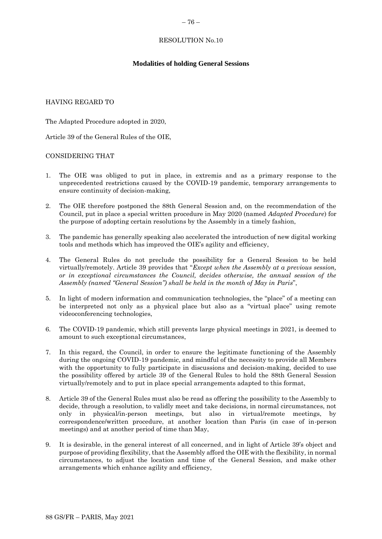#### <span id="page-15-0"></span>– 76 –

#### RESOLUTION No.10

#### **Modalities of holding General Sessions**

# HAVING REGARD TO

The Adapted Procedure adopted in 2020,

Article 39 of the General Rules of the OIE,

#### CONSIDERING THAT

- 1. The OIE was obliged to put in place, in extremis and as a primary response to the unprecedented restrictions caused by the COVID-19 pandemic, temporary arrangements to ensure continuity of decision-making,
- 2. The OIE therefore postponed the 88th General Session and, on the recommendation of the Council, put in place a special written procedure in May 2020 (named *Adapted Procedure*) for the purpose of adopting certain resolutions by the Assembly in a timely fashion,
- 3. The pandemic has generally speaking also accelerated the introduction of new digital working tools and methods which has improved the OIE's agility and efficiency,
- 4. The General Rules do not preclude the possibility for a General Session to be held virtually/remotely. Article 39 provides that "*Except when the Assembly at a previous session, or in exceptional circumstances the Council, decides otherwise, the annual session of the Assembly (named "General Session") shall be held in the month of May in Paris*",
- 5. In light of modern information and communication technologies, the "place" of a meeting can be interpreted not only as a physical place but also as a "virtual place" using remote videoconferencing technologies,
- 6. The COVID-19 pandemic, which still prevents large physical meetings in 2021, is deemed to amount to such exceptional circumstances,
- 7. In this regard, the Council, in order to ensure the legitimate functioning of the Assembly during the ongoing COVID-19 pandemic, and mindful of the necessity to provide all Members with the opportunity to fully participate in discussions and decision-making, decided to use the possibility offered by article 39 of the General Rules to hold the 88th General Session virtually/remotely and to put in place special arrangements adapted to this format,
- 8. Article 39 of the General Rules must also be read as offering the possibility to the Assembly to decide, through a resolution, to validly meet and take decisions, in normal circumstances, not only in physical/in-person meetings, but also in virtual/remote meetings, by correspondence/written procedure, at another location than Paris (in case of in-person meetings) and at another period of time than May,
- 9. It is desirable, in the general interest of all concerned, and in light of Article 39's object and purpose of providing flexibility, that the Assembly afford the OIE with the flexibility, in normal circumstances, to adjust the location and time of the General Session, and make other arrangements which enhance agility and efficiency,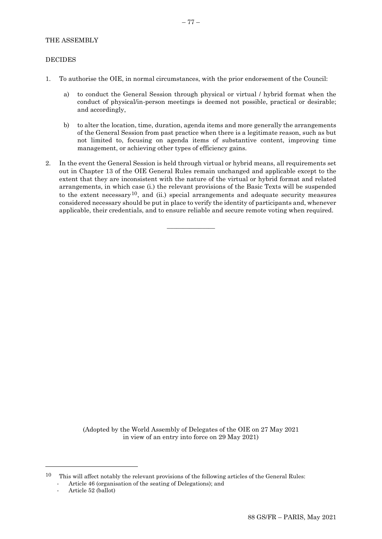# THE ASSEMBLY

# DECIDES

- 1. To authorise the OIE, in normal circumstances, with the prior endorsement of the Council:
	- a) to conduct the General Session through physical or virtual / hybrid format when the conduct of physical/in-person meetings is deemed not possible, practical or desirable; and accordingly,
	- b) to alter the location, time, duration, agenda items and more generally the arrangements of the General Session from past practice when there is a legitimate reason, such as but not limited to, focusing on agenda items of substantive content, improving time management, or achieving other types of efficiency gains.
- 2. In the event the General Session is held through virtual or hybrid means, all requirements set out in Chapter 13 of the OIE General Rules remain unchanged and applicable except to the extent that they are inconsistent with the nature of the virtual or hybrid format and related arrangements, in which case (i.) the relevant provisions of the Basic Texts will be suspended to the extent necessary<sup>10</sup>, and (ii.) special arrangements and adequate security measures considered necessary should be put in place to verify the identity of participants and, whenever applicable, their credentials, and to ensure reliable and secure remote voting when required.

 $\overline{\phantom{a}}$  , where  $\overline{\phantom{a}}$ 

- Article 46 (organisation of the seating of Delegations); and
- Article 52 (ballot)

 $10$  This will affect notably the relevant provisions of the following articles of the General Rules: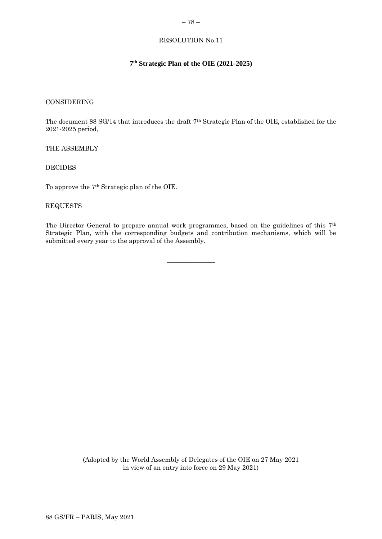# <span id="page-17-0"></span>**7 th Strategic Plan of the OIE (2021-2025)**

#### CONSIDERING

The document 88 SG/14 that introduces the draft 7th Strategic Plan of the OIE, established for the 2021-2025 period,

#### THE ASSEMBLY

#### DECIDES

To approve the 7th Strategic plan of the OIE.

# REQUESTS

The Director General to prepare annual work programmes, based on the guidelines of this 7th Strategic Plan, with the corresponding budgets and contribution mechanisms, which will be submitted every year to the approval of the Assembly.

 $\overline{\phantom{a}}$  , where  $\overline{\phantom{a}}$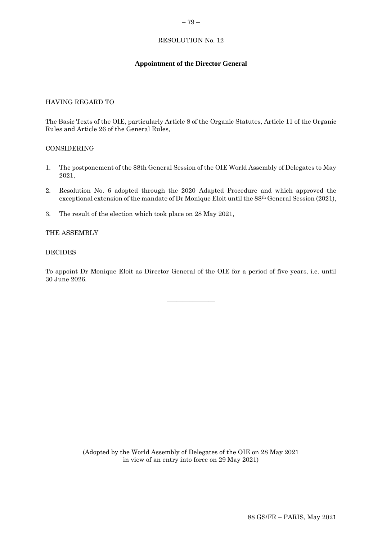# <span id="page-18-0"></span>– 79 –

# RESOLUTION No. 12

# **Appointment of the Director General**

# HAVING REGARD TO

The Basic Texts of the OIE, particularly Article 8 of the Organic Statutes, Article 11 of the Organic Rules and Article 26 of the General Rules,

#### CONSIDERING

- 1. The postponement of the 88th General Session of the OIE World Assembly of Delegates to May 2021,
- 2. Resolution No. 6 adopted through the 2020 Adapted Procedure and which approved the exceptional extension of the mandate of Dr Monique Eloit until the 88th General Session (2021),
- 3. The result of the election which took place on 28 May 2021,

#### THE ASSEMBLY

#### DECIDES

To appoint Dr Monique Eloit as Director General of the OIE for a period of five years, i.e. until 30 June 2026.

 $\frac{1}{2}$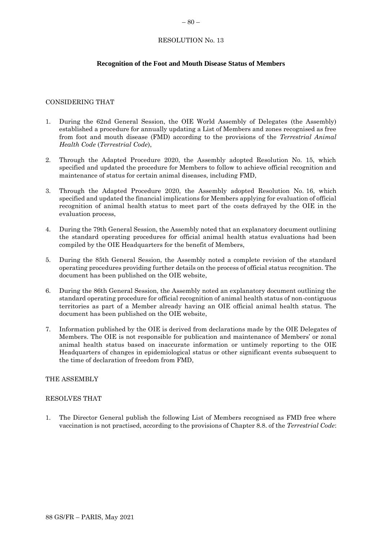# **Recognition of the Foot and Mouth Disease Status of Members**

# CONSIDERING THAT

- 1. During the 62nd General Session, the OIE World Assembly of Delegates (the Assembly) established a procedure for annually updating a List of Members and zones recognised as free from foot and mouth disease (FMD) according to the provisions of the *Terrestrial Animal Health Code* (*Terrestrial Code*),
- 2. Through the Adapted Procedure 2020, the Assembly adopted Resolution No. 15, which specified and updated the procedure for Members to follow to achieve official recognition and maintenance of status for certain animal diseases, including FMD,
- 3. Through the Adapted Procedure 2020, the Assembly adopted Resolution No. 16, which specified and updated the financial implications for Members applying for evaluation of official recognition of animal health status to meet part of the costs defrayed by the OIE in the evaluation process,
- 4. During the 79th General Session, the Assembly noted that an explanatory document outlining the standard operating procedures for official animal health status evaluations had been compiled by the OIE Headquarters for the benefit of Members,
- 5. During the 85th General Session, the Assembly noted a complete revision of the standard operating procedures providing further details on the process of official status recognition. The document has been published on the OIE website,
- 6. During the 86th General Session, the Assembly noted an explanatory document outlining the standard operating procedure for official recognition of animal health status of non-contiguous territories as part of a Member already having an OIE official animal health status. The document has been published on the OIE website,
- 7. Information published by the OIE is derived from declarations made by the OIE Delegates of Members. The OIE is not responsible for publication and maintenance of Members' or zonal animal health status based on inaccurate information or untimely reporting to the OIE Headquarters of changes in epidemiological status or other significant events subsequent to the time of declaration of freedom from FMD,

# THE ASSEMBLY

# RESOLVES THAT

1. The Director General publish the following List of Members recognised as FMD free where vaccination is not practised, according to the provisions of Chapter 8.8. of the *Terrestrial Code*: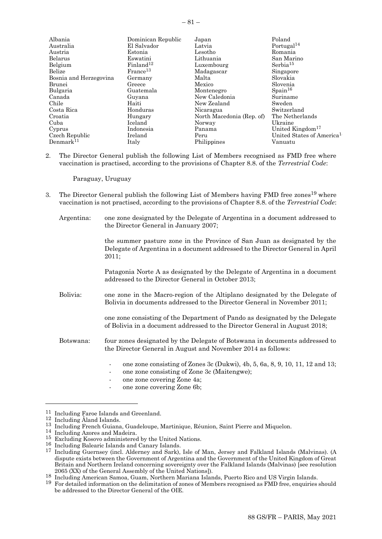| Albania                | Dominican Republic    | Japan                     | Poland                                |
|------------------------|-----------------------|---------------------------|---------------------------------------|
| Australia              | El Salvador           | Latvia                    | Portugal <sup>14</sup>                |
| Austria                | Estonia               | Lesotho                   | Romania                               |
| Belarus                | Eswatini              | Lithuania                 | San Marino                            |
| Belgium                | Finland <sup>12</sup> | Luxembourg                | Serbia <sup>15</sup>                  |
| Belize                 | France <sup>13</sup>  | Madagascar                | Singapore                             |
| Bosnia and Herzegovina | Germany               | Malta                     | Slovakia                              |
| Brunei                 | Greece                | Mexico                    | Slovenia                              |
| Bulgaria               | Guatemala             | Montenegro                | $S_{\text{pain}}^{16}$                |
| Canada                 | Guyana                | New Caledonia             | Suriname                              |
| Chile                  | Haiti                 | New Zealand               | Sweden                                |
| Costa Rica             | Honduras              | Nicaragua                 | Switzerland                           |
| Croatia                | Hungary               | North Macedonia (Rep. of) | The Netherlands                       |
| Cuba                   | Iceland               | Norway                    | Ukraine                               |
| Cyprus                 | Indonesia             | Panama                    | United Kingdom <sup>17</sup>          |
| Czech Republic         | Ireland               | Peru                      | United States of America <sup>1</sup> |
| $\rm Denmark^{11}$     | Italy                 | Philippines               | Vanuatu                               |

2. The Director General publish the following List of Members recognised as FMD free where vaccination is practised, according to the provisions of Chapter 8.8. of the *Terrestrial Code*:

Paraguay, Uruguay

- 3. The Director General publish the following List of Members having FMD free zones<sup>19</sup> where vaccination is not practised, according to the provisions of Chapter 8.8. of the *Terrestrial Code*:
	- Argentina: one zone designated by the Delegate of Argentina in a document addressed to the Director General in January 2007;

the summer pasture zone in the Province of San Juan as designated by the Delegate of Argentina in a document addressed to the Director General in April 2011;

Patagonia Norte A as designated by the Delegate of Argentina in a document addressed to the Director General in October 2013;

Bolivia: one zone in the Macro-region of the Altiplano designated by the Delegate of Bolivia in documents addressed to the Director General in November 2011;

> one zone consisting of the Department of Pando as designated by the Delegate of Bolivia in a document addressed to the Director General in August 2018;

- Botswana: four zones designated by the Delegate of Botswana in documents addressed to the Director General in August and November 2014 as follows:
	- one zone consisting of Zones 3c (Dukwi), 4b, 5, 6a, 8, 9, 10, 11, 12 and 13;
	- one zone consisting of Zone 3c (Maitengwe);
	- one zone covering Zone 4a;
	- one zone covering Zone 6b;

<sup>11</sup> Including Faroe Islands and Greenland.

<sup>12</sup> Including Åland Islands.

<sup>&</sup>lt;sup>13</sup> Including French Guiana, Guadeloupe, Martinique, Réunion, Saint Pierre and Miquelon.

<sup>14</sup> Including Azores and Madeira.

<sup>15</sup> Excluding Kosovo administered by the United Nations.

<sup>16</sup> Including Balearic Islands and Canary Islands.

<sup>17</sup> Including Guernsey (incl. Alderney and Sark), Isle of Man, Jersey and Falkland Islands (Malvinas). (A dispute exists between the Government of Argentina and the Government of the United Kingdom of Great Britain and Northern Ireland concerning sovereignty over the Falkland Islands (Malvinas) [see resolution 2065 (XX) of the General Assembly of the United Nations]).

<sup>18</sup> Including American Samoa, Guam, Northern Mariana Islands, Puerto Rico and US Virgin Islands.

<sup>&</sup>lt;sup>19</sup> For detailed information on the delimitation of zones of Members recognised as FMD free, enquiries should be addressed to the Director General of the OIE.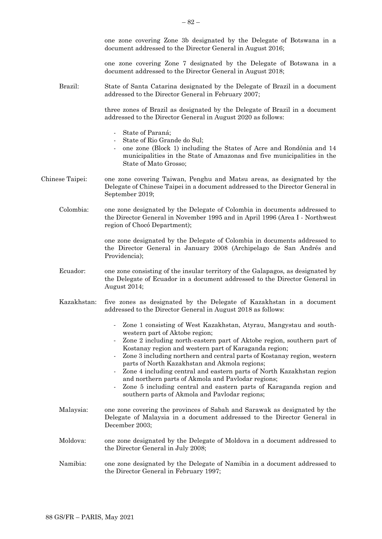one zone covering Zone 3b designated by the Delegate of Botswana in a document addressed to the Director General in August 2016; one zone covering Zone 7 designated by the Delegate of Botswana in a document addressed to the Director General in August 2018; Brazil: State of Santa Catarina designated by the Delegate of Brazil in a document addressed to the Director General in February 2007; three zones of Brazil as designated by the Delegate of Brazil in a document addressed to the Director General in August 2020 as follows: State of Paraná; - State of Rio Grande do Sul; one zone (Block 1) including the States of Acre and Rondônia and 14 municipalities in the State of Amazonas and five municipalities in the State of Mato Grosso; Chinese Taipei: one zone covering Taiwan, Penghu and Matsu areas, as designated by the Delegate of Chinese Taipei in a document addressed to the Director General in September 2019; Colombia: one zone designated by the Delegate of Colombia in documents addressed to the Director General in November 1995 and in April 1996 (Area I - Northwest region of Chocó Department); one zone designated by the Delegate of Colombia in documents addressed to the Director General in January 2008 (Archipelago de San Andrés and Providencia); Ecuador: one zone consisting of the insular territory of the Galapagos, as designated by the Delegate of Ecuador in a document addressed to the Director General in August 2014; Kazakhstan: five zones as designated by the Delegate of Kazakhstan in a document addressed to the Director General in August 2018 as follows: Zone 1 consisting of West Kazakhstan, Atyrau, Mangystau and southwestern part of Aktobe region; Zone 2 including north-eastern part of Aktobe region, southern part of Kostanay region and western part of Karaganda region; - Zone 3 including northern and central parts of Kostanay region, western parts of North Kazakhstan and Akmola regions; Zone 4 including central and eastern parts of North Kazakhstan region and northern parts of Akmola and Pavlodar regions; Zone 5 including central and eastern parts of Karaganda region and southern parts of Akmola and Pavlodar regions; Malaysia: one zone covering the provinces of Sabah and Sarawak as designated by the Delegate of Malaysia in a document addressed to the Director General in December 2003; Moldova: one zone designated by the Delegate of Moldova in a document addressed to the Director General in July 2008; Namibia: one zone designated by the Delegate of Namibia in a document addressed to the Director General in February 1997;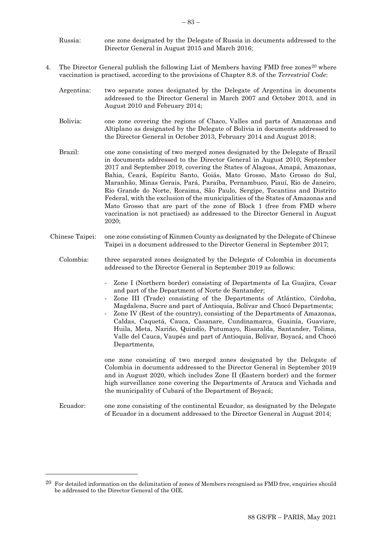- Russia: one zone designated by the Delegate of Russia in documents addressed to the Director General in August 2015 and March 2016;
- 4. The Director General publish the following List of Members having FMD free zones<sup>20</sup> where vaccination is practised, according to the provisions of Chapter 8.8. of the *Terrestrial Code*:
	- Argentina: two separate zones designated by the Delegate of Argentina in documents addressed to the Director General in March 2007 and October 2013, and in August 2010 and February 2014;
	- Bolivia: one zone covering the regions of Chaco, Valles and parts of Amazonas and Altiplano as designated by the Delegate of Bolivia in documents addressed to the Director General in October 2013, February 2014 and August 2018;
	- Brazil: one zone consisting of two merged zones designated by the Delegate of Brazil in documents addressed to the Director General in August 2010, September 2017 and September 2019, covering the States of Alagoas, Amapá, Amazonas, Bahia, Ceará, Espíritu Santo, Goiás, Mato Grosso, Mato Grosso do Sul, Maranhão, Minas Gerais, Pará, Paraíba, Pernambuco, Piauí, Rio de Janeiro, Rio Grande do Norte, Roraima, São Paulo, Sergipe, Tocantins and Distrito Federal, with the exclusion of the municipalities of the States of Amazonas and Mato Grosso that are part of the zone of Block 1 (free from FMD where vaccination is not practised) as addressed to the Director General in August 2020;
	- Chinese Taipei: one zone consisting of Kinmen County as designated by the Delegate of Chinese Taipei in a document addressed to the Director General in September 2017;
		- Colombia: three separated zones designated by the Delegate of Colombia in documents addressed to the Director General in September 2019 as follows:
			- Zone I (Northern border) consisting of Departments of La Guajira, Cesar and part of the Department of Norte de Santander;
			- Zone III (Trade) consisting of the Departments of Atlántico, Córdoba, Magdalena, Sucre and part of Antioquia, Bolívar and Chocó Departments;
			- Zone IV (Rest of the country), consisting of the Departments of Amazonas, Caldas, Caquetá, Cauca, Casanare, Cundinamarca, Guainía, Guaviare, Huila, Meta, Nariño, Quindío, Putumayo, Risaralda, Santander, Tolima, Valle del Cauca, Vaupés and part of Antioquia, Bolívar, Boyacá, and Chocó Departments,

one zone consisting of two merged zones designated by the Delegate of Colombia in documents addressed to the Director General in September 2019 and in August 2020, which includes Zone II (Eastern border) and the former high surveillance zone covering the Departments of Arauca and Vichada and the municipality of Cubará of the Department of Boyacá;

Ecuador: one zone consisting of the continental Ecuador, as designated by the Delegate of Ecuador in a document addressed to the Director General in August 2014;

 $20$  For detailed information on the delimitation of zones of Members recognised as FMD free, enquiries should be addressed to the Director General of the OIE.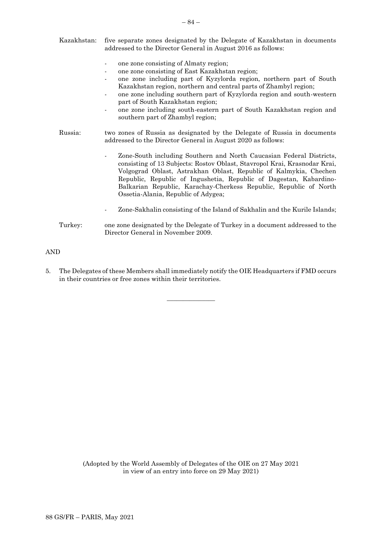| Kazakhstan: | five separate zones designated by the Delegate of Kazakhstan in documents<br>addressed to the Director General in August 2016 as follows:                                                                                                                                                                                                                                                                                                                    |  |
|-------------|--------------------------------------------------------------------------------------------------------------------------------------------------------------------------------------------------------------------------------------------------------------------------------------------------------------------------------------------------------------------------------------------------------------------------------------------------------------|--|
|             | one zone consisting of Almaty region;<br>one zone consisting of East Kazakhstan region;<br>one zone including part of Kyzylorda region, northern part of South<br>Kazakhstan region, northern and central parts of Zhambyl region;<br>one zone including southern part of Kyzylorda region and south-western<br>part of South Kazakhstan region;<br>one zone including south-eastern part of South Kazakhstan region and<br>southern part of Zhambyl region; |  |
| Russia:     | two zones of Russia as designated by the Delegate of Russia in documents<br>addressed to the Director General in August 2020 as follows:                                                                                                                                                                                                                                                                                                                     |  |
|             | Zone-South including Southern and North Caucasian Federal Districts,<br>consisting of 13 Subjects: Rostov Oblast, Stavropol Krai, Krasnodar Krai,<br>Volgograd Oblast, Astrakhan Oblast, Republic of Kalmykia, Chechen<br>Republic, Republic of Ingushetia, Republic of Dagestan, Kabardino-<br>Balkarian Republic, Karachay-Cherkess Republic, Republic of North<br>Ossetia-Alania, Republic of Adygea;                                                     |  |
|             | Zone-Sakhalin consisting of the Island of Sakhalin and the Kurile Islands;                                                                                                                                                                                                                                                                                                                                                                                   |  |
| Turkey:     | one zone designated by the Delegate of Turkey in a document addressed to the<br>Director General in November 2009.                                                                                                                                                                                                                                                                                                                                           |  |

AND

5. The Delegates of these Members shall immediately notify the OIE Headquarters if FMD occurs in their countries or free zones within their territories.

 $\overline{\phantom{a}}$  , where  $\overline{\phantom{a}}$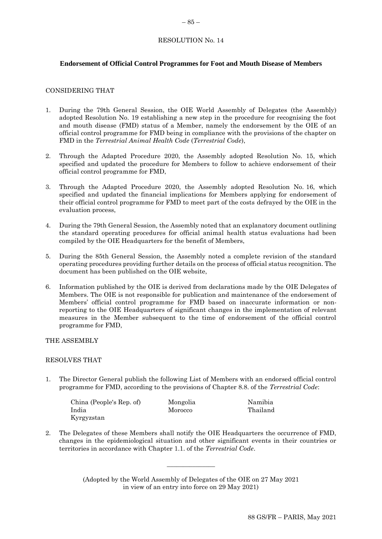# **Endorsement of Official Control Programmes for Foot and Mouth Disease of Members**

# CONSIDERING THAT

- 1. During the 79th General Session, the OIE World Assembly of Delegates (the Assembly) adopted Resolution No. 19 establishing a new step in the procedure for recognising the foot and mouth disease (FMD) status of a Member, namely the endorsement by the OIE of an official control programme for FMD being in compliance with the provisions of the chapter on FMD in the *Terrestrial Animal Health Code* (*Terrestrial Code*),
- 2. Through the Adapted Procedure 2020, the Assembly adopted Resolution No. 15, which specified and updated the procedure for Members to follow to achieve endorsement of their official control programme for FMD,
- 3. Through the Adapted Procedure 2020, the Assembly adopted Resolution No. 16, which specified and updated the financial implications for Members applying for endorsement of their official control programme for FMD to meet part of the costs defrayed by the OIE in the evaluation process,
- 4. During the 79th General Session, the Assembly noted that an explanatory document outlining the standard operating procedures for official animal health status evaluations had been compiled by the OIE Headquarters for the benefit of Members,
- 5. During the 85th General Session, the Assembly noted a complete revision of the standard operating procedures providing further details on the process of official status recognition. The document has been published on the OIE website,
- 6. Information published by the OIE is derived from declarations made by the OIE Delegates of Members. The OIE is not responsible for publication and maintenance of the endorsement of Members' official control programme for FMD based on inaccurate information or nonreporting to the OIE Headquarters of significant changes in the implementation of relevant measures in the Member subsequent to the time of endorsement of the official control programme for FMD,

THE ASSEMBLY

#### RESOLVES THAT

1. The Director General publish the following List of Members with an endorsed official control programme for FMD, according to the provisions of Chapter 8.8. of the *Terrestrial Code*:

| China (People's Rep. of) | Mongolia | Namibia  |
|--------------------------|----------|----------|
| India                    | Morocco  | Thailand |
| Kyrgyzstan               |          |          |

2. The Delegates of these Members shall notify the OIE Headquarters the occurrence of FMD, changes in the epidemiological situation and other significant events in their countries or territories in accordance with Chapter 1.1. of the *Terrestrial Code*.

> (Adopted by the World Assembly of Delegates of the OIE on 27 May 2021 in view of an entry into force on 29 May 2021)

 $\overline{\phantom{a}}$  , where  $\overline{\phantom{a}}$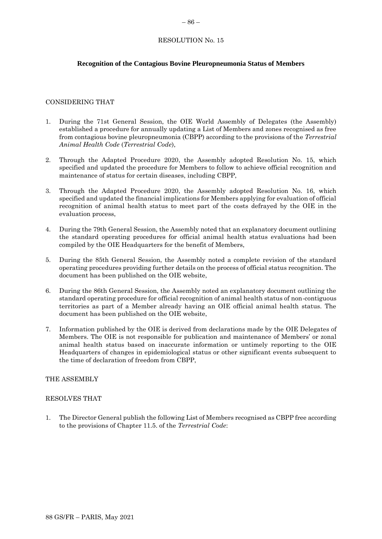# **Recognition of the Contagious Bovine Pleuropneumonia Status of Members**

# CONSIDERING THAT

- 1. During the 71st General Session, the OIE World Assembly of Delegates (the Assembly) established a procedure for annually updating a List of Members and zones recognised as free from contagious bovine pleuropneumonia (CBPP) according to the provisions of the *Terrestrial Animal Health Code* (*Terrestrial Code*),
- 2. Through the Adapted Procedure 2020, the Assembly adopted Resolution No. 15, which specified and updated the procedure for Members to follow to achieve official recognition and maintenance of status for certain diseases, including CBPP,
- 3. Through the Adapted Procedure 2020, the Assembly adopted Resolution No. 16, which specified and updated the financial implications for Members applying for evaluation of official recognition of animal health status to meet part of the costs defrayed by the OIE in the evaluation process,
- 4. During the 79th General Session, the Assembly noted that an explanatory document outlining the standard operating procedures for official animal health status evaluations had been compiled by the OIE Headquarters for the benefit of Members,
- 5. During the 85th General Session, the Assembly noted a complete revision of the standard operating procedures providing further details on the process of official status recognition. The document has been published on the OIE website,
- 6. During the 86th General Session, the Assembly noted an explanatory document outlining the standard operating procedure for official recognition of animal health status of non-contiguous territories as part of a Member already having an OIE official animal health status. The document has been published on the OIE website,
- 7. Information published by the OIE is derived from declarations made by the OIE Delegates of Members. The OIE is not responsible for publication and maintenance of Members' or zonal animal health status based on inaccurate information or untimely reporting to the OIE Headquarters of changes in epidemiological status or other significant events subsequent to the time of declaration of freedom from CBPP,

# THE ASSEMBLY

#### RESOLVES THAT

1. The Director General publish the following List of Members recognised as CBPP free according to the provisions of Chapter 11.5. of the *Terrestrial Code*: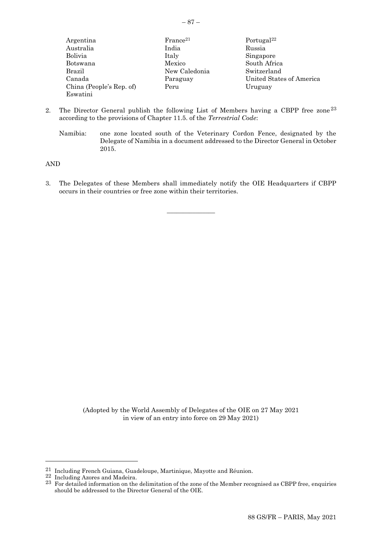| × |  |
|---|--|
|---|--|

| Argentina                | France <sup>21</sup> | Portugal <sup>22</sup>   |
|--------------------------|----------------------|--------------------------|
| Australia                | India                | Russia                   |
| Bolivia                  | Italy                | Singapore                |
| Botswana                 | Mexico               | South Africa             |
| Brazil                   | New Caledonia        | Switzerland              |
| Canada                   | Paraguay             | United States of America |
| China (People's Rep. of) | Peru                 | Uruguay                  |
| Eswatini                 |                      |                          |
|                          |                      |                          |

- 2. The Director General publish the following List of Members having a CBPP free zone<sup>23</sup> according to the provisions of Chapter 11.5. of the *Terrestrial Code*:
	- Namibia: one zone located south of the Veterinary Cordon Fence, designated by the Delegate of Namibia in a document addressed to the Director General in October 2015.

AND

3. The Delegates of these Members shall immediately notify the OIE Headquarters if CBPP occurs in their countries or free zone within their territories.

 $\overline{\phantom{a}}$  , where  $\overline{\phantom{a}}$ 

(Adopted by the World Assembly of Delegates of the OIE on 27 May 2021 in view of an entry into force on 29 May 2021)

 $22$  Including Azores and Madeira.

 $^{21}$  Including French Guiana, Guadeloupe, Martinique, Mayotte and Réunion.

<sup>&</sup>lt;sup>23</sup> For detailed information on the delimitation of the zone of the Member recognised as CBPP free, enquiries should be addressed to the Director General of the OIE.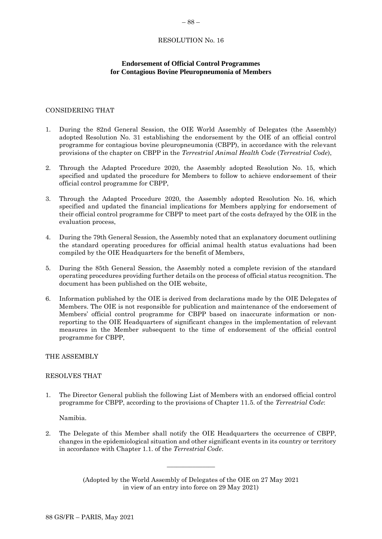# <span id="page-27-0"></span>**Endorsement of Official Control Programmes for Contagious Bovine Pleuropneumonia of Members**

# CONSIDERING THAT

- 1. During the 82nd General Session, the OIE World Assembly of Delegates (the Assembly) adopted Resolution No. 31 establishing the endorsement by the OIE of an official control programme for contagious bovine pleuropneumonia (CBPP), in accordance with the relevant provisions of the chapter on CBPP in the *Terrestrial Animal Health Code* (*Terrestrial Code*),
- 2. Through the Adapted Procedure 2020, the Assembly adopted Resolution No. 15, which specified and updated the procedure for Members to follow to achieve endorsement of their official control programme for CBPP,
- 3. Through the Adapted Procedure 2020, the Assembly adopted Resolution No. 16, which specified and updated the financial implications for Members applying for endorsement of their official control programme for CBPP to meet part of the costs defrayed by the OIE in the evaluation process,
- 4. During the 79th General Session, the Assembly noted that an explanatory document outlining the standard operating procedures for official animal health status evaluations had been compiled by the OIE Headquarters for the benefit of Members,
- 5. During the 85th General Session, the Assembly noted a complete revision of the standard operating procedures providing further details on the process of official status recognition. The document has been published on the OIE website,
- 6. Information published by the OIE is derived from declarations made by the OIE Delegates of Members. The OIE is not responsible for publication and maintenance of the endorsement of Members' official control programme for CBPP based on inaccurate information or nonreporting to the OIE Headquarters of significant changes in the implementation of relevant measures in the Member subsequent to the time of endorsement of the official control programme for CBPP,

THE ASSEMBLY

# RESOLVES THAT

1. The Director General publish the following List of Members with an endorsed official control programme for CBPP, according to the provisions of Chapter 11.5. of the *Terrestrial Code*:

Namibia.

2. The Delegate of this Member shall notify the OIE Headquarters the occurrence of CBPP, changes in the epidemiological situation and other significant events in its country or territory in accordance with Chapter 1.1. of the *Terrestrial Code*.

> (Adopted by the World Assembly of Delegates of the OIE on 27 May 2021 in view of an entry into force on 29 May 2021)

 $\overline{\phantom{a}}$  , where  $\overline{\phantom{a}}$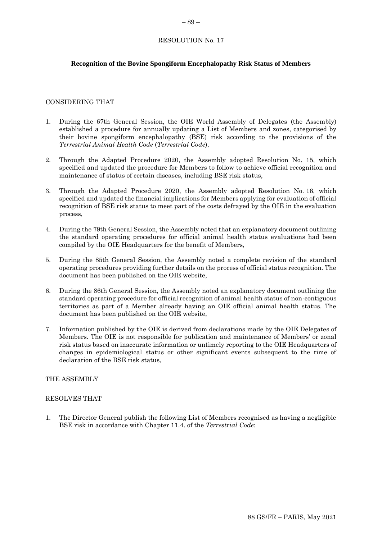# <span id="page-28-0"></span>**Recognition of the Bovine Spongiform Encephalopathy Risk Status of Members**

# CONSIDERING THAT

- 1. During the 67th General Session, the OIE World Assembly of Delegates (the Assembly) established a procedure for annually updating a List of Members and zones, categorised by their bovine spongiform encephalopathy (BSE) risk according to the provisions of the *Terrestrial Animal Health Code* (*Terrestrial Code*),
- 2. Through the Adapted Procedure 2020, the Assembly adopted Resolution No. 15, which specified and updated the procedure for Members to follow to achieve official recognition and maintenance of status of certain diseases, including BSE risk status,
- 3. Through the Adapted Procedure 2020, the Assembly adopted Resolution No. 16, which specified and updated the financial implications for Members applying for evaluation of official recognition of BSE risk status to meet part of the costs defrayed by the OIE in the evaluation process,
- 4. During the 79th General Session, the Assembly noted that an explanatory document outlining the standard operating procedures for official animal health status evaluations had been compiled by the OIE Headquarters for the benefit of Members,
- 5. During the 85th General Session, the Assembly noted a complete revision of the standard operating procedures providing further details on the process of official status recognition. The document has been published on the OIE website,
- 6. During the 86th General Session, the Assembly noted an explanatory document outlining the standard operating procedure for official recognition of animal health status of non-contiguous territories as part of a Member already having an OIE official animal health status. The document has been published on the OIE website,
- 7. Information published by the OIE is derived from declarations made by the OIE Delegates of Members. The OIE is not responsible for publication and maintenance of Members' or zonal risk status based on inaccurate information or untimely reporting to the OIE Headquarters of changes in epidemiological status or other significant events subsequent to the time of declaration of the BSE risk status,

# THE ASSEMBLY

#### RESOLVES THAT

1. The Director General publish the following List of Members recognised as having a negligible BSE risk in accordance with Chapter 11.4. of the *Terrestrial Code*: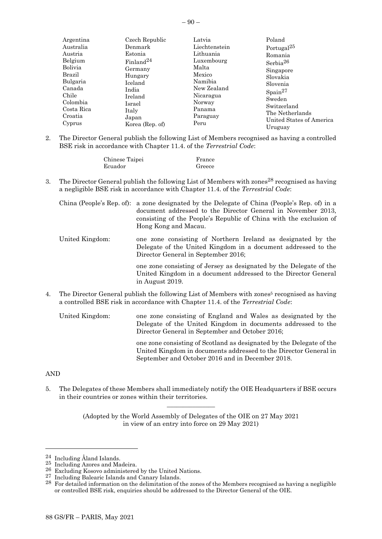| Argentina  | Czech Republic        | Latvia        | Poland                   |
|------------|-----------------------|---------------|--------------------------|
| Australia  | Denmark               | Liechtenstein | Portugal <sup>25</sup>   |
| Austria    | Estonia               | Lithuania     | Romania                  |
| Belgium    | Finland <sup>24</sup> | Luxembourg    | Serbia <sup>26</sup>     |
| Bolivia    | Germany               | Malta         | Singapore                |
| Brazil     | Hungary               | Mexico        | Slovakia                 |
| Bulgaria   | Iceland               | Namibia       | Slovenia                 |
| Canada     | India                 | New Zealand   | $\mathrm{Spain}^{27}$    |
| Chile      | Ireland               | Nicaragua     | Sweden                   |
| Colombia   | Israel                | Norway        | Switzerland              |
| Costa Rica | Italy                 | Panama        | The Netherlands          |
| Croatia    | Japan                 | Paraguay      | United States of America |
| Cyprus     | Korea (Rep. of)       | Peru          | Uruguay                  |

2. The Director General publish the following List of Members recognised as having a controlled BSE risk in accordance with Chapter 11.4. of the *Terrestrial Code*:

| Chinese Taipei | France |
|----------------|--------|
| Ecuador        | Greece |

3. The Director General publish the following List of Members with zones<sup>28</sup> recognised as having a negligible BSE risk in accordance with Chapter 11.4. of the *Terrestrial Code*:

|                 | China (People's Rep. of): a zone designated by the Delegate of China (People's Rep. of) in a<br>document addressed to the Director General in November 2013,<br>consisting of the People's Republic of China with the exclusion of<br>Hong Kong and Macau. |
|-----------------|------------------------------------------------------------------------------------------------------------------------------------------------------------------------------------------------------------------------------------------------------------|
| United Kingdom: | one zone consisting of Northern Ireland as designated by the<br>Delegate of the United Kingdom in a document addressed to the<br>Director General in September 2016;                                                                                       |
|                 | one zone consisting of Jersey as designated by the Delegate of the<br>United Kingdom in a document addressed to the Director General<br>in August 2019.                                                                                                    |

4. The Director General publish the following List of Members with zones <sup>5</sup> recognised as having a controlled BSE risk in accordance with Chapter 11.4. of the *Terrestrial Code*:

United Kingdom: one zone consisting of England and Wales as designated by the Delegate of the United Kingdom in documents addressed to the Director General in September and October 2016; one zone consisting of Scotland as designated by the Delegate of the United Kingdom in documents addressed to the Director General in

September and October 2016 and in December 2018.

#### AND

5. The Delegates of these Members shall immediately notify the OIE Headquarters if BSE occurs in their countries or zones within their territories.  $\overline{\phantom{a}}$  , where  $\overline{\phantom{a}}$ 

<sup>24</sup> Including Åland Islands.

<sup>25</sup> Including Azores and Madeira.

<sup>26</sup> Excluding Kosovo administered by the United Nations.

<sup>27</sup> Including Balearic Islands and Canary Islands.

<sup>28</sup> For detailed information on the delimitation of the zones of the Members recognised as having a negligible or controlled BSE risk, enquiries should be addressed to the Director General of the OIE.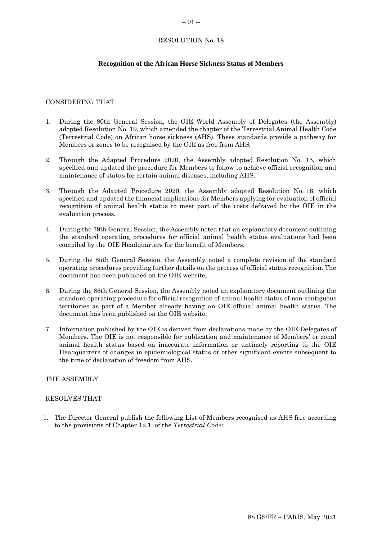# <span id="page-30-0"></span>**Recognition of the African Horse Sickness Status of Members**

# CONSIDERING THAT

- 1. During the 80th General Session, the OIE World Assembly of Delegates (the Assembly) adopted Resolution No. 19, which amended the chapter of the Terrestrial Animal Health Code (Terrestrial Code) on African horse sickness (AHS). These standards provide a pathway for Members or zones to be recognised by the OIE as free from AHS,
- 2. Through the Adapted Procedure 2020, the Assembly adopted Resolution No. 15, which specified and updated the procedure for Members to follow to achieve official recognition and maintenance of status for certain animal diseases, including AHS,
- 3. Through the Adapted Procedure 2020, the Assembly adopted Resolution No. 16, which specified and updated the financial implications for Members applying for evaluation of official recognition of animal health status to meet part of the costs defrayed by the OIE in the evaluation process,
- 4. During the 79th General Session, the Assembly noted that an explanatory document outlining the standard operating procedures for official animal health status evaluations had been compiled by the OIE Headquarters for the benefit of Members,
- 5. During the 85th General Session, the Assembly noted a complete revision of the standard operating procedures providing further details on the process of official status recognition. The document has been published on the OIE website,
- 6. During the 86th General Session, the Assembly noted an explanatory document outlining the standard operating procedure for official recognition of animal health status of non-contiguous territories as part of a Member already having an OIE official animal health status. The document has been published on the OIE website,
- 7. Information published by the OIE is derived from declarations made by the OIE Delegates of Members. The OIE is not responsible for publication and maintenance of Members' or zonal animal health status based on inaccurate information or untimely reporting to the OIE Headquarters of changes in epidemiological status or other significant events subsequent to the time of declaration of freedom from AHS,

#### THE ASSEMBLY

#### RESOLVES THAT

1. The Director General publish the following List of Members recognised as AHS free according to the provisions of Chapter 12.1. of the *Terrestrial Code*: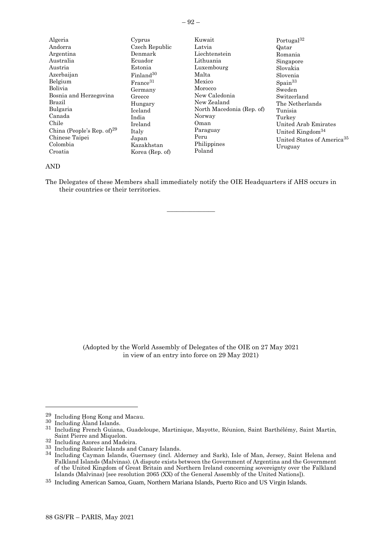| ×<br>۰. |  |
|---------|--|

| Algeria<br>Andorra<br>Argentina<br>Australia<br>Austria<br>Azerbaijan<br>Belgium<br>Bolivia<br>Bosnia and Herzegovina<br>Brazil<br>Bulgaria<br>Canada<br>Chile<br>China (People's Rep. of) <sup>29</sup><br>Chinese Taipei<br>Colombia<br>Croatia | Cyprus<br>Czech Republic<br>Denmark<br>Ecuador<br>Estonia<br>Finland <sup>30</sup><br>France <sup>31</sup><br>Germany<br>Greece<br>Hungary<br>Iceland<br>India<br>Ireland<br>Italy<br>Japan<br>Kazakhstan<br>Korea (Rep. of) | Kuwait<br>Latvia<br>Liechtenstein<br>Lithuania<br>Luxembourg<br>Malta<br>Mexico<br>Morocco<br>New Caledonia<br>New Zealand<br>North Macedonia (Rep. of)<br>Norway<br>Oman<br>Paraguay<br>Peru<br>Philippines<br>Poland | Portugal <sup>32</sup><br>Qatar<br>Romania<br>Singapore<br>Slovakia<br>Slovenia<br>$S_{\text{pain}}^{33}$<br>Sweden<br>Switzerland<br>The Netherlands<br>Tunisia<br>Turkey<br>United Arab Emirates<br>United Kingdom <sup>34</sup><br>United States of America <sup>35</sup><br>Uruguay |
|---------------------------------------------------------------------------------------------------------------------------------------------------------------------------------------------------------------------------------------------------|------------------------------------------------------------------------------------------------------------------------------------------------------------------------------------------------------------------------------|------------------------------------------------------------------------------------------------------------------------------------------------------------------------------------------------------------------------|-----------------------------------------------------------------------------------------------------------------------------------------------------------------------------------------------------------------------------------------------------------------------------------------|
|---------------------------------------------------------------------------------------------------------------------------------------------------------------------------------------------------------------------------------------------------|------------------------------------------------------------------------------------------------------------------------------------------------------------------------------------------------------------------------------|------------------------------------------------------------------------------------------------------------------------------------------------------------------------------------------------------------------------|-----------------------------------------------------------------------------------------------------------------------------------------------------------------------------------------------------------------------------------------------------------------------------------------|

#### AND

The Delegates of these Members shall immediately notify the OIE Headquarters if AHS occurs in their countries or their territories.

 $\overline{\phantom{a}}$  , where  $\overline{\phantom{a}}$ 

<sup>29</sup> Including Hong Kong and Macau.

<sup>30</sup> Including Åland Islands.

<sup>31</sup> Including French Guiana, Guadeloupe, Martinique, Mayotte, Réunion, Saint Barthélémy, Saint Martin, Saint Pierre and Miquelon.

<sup>32</sup> Including Azores and Madeira.

<sup>33</sup> Including Balearic Islands and Canary Islands.

<sup>34</sup> Including Cayman Islands, Guernsey (incl. Alderney and Sark), Isle of Man, Jersey, Saint Helena and Falkland Islands (Malvinas). (A dispute exists between the Government of Argentina and the Government of the United Kingdom of Great Britain and Northern Ireland concerning sovereignty over the Falkland Islands (Malvinas) [see resolution 2065 (XX) of the General Assembly of the United Nations]).

<sup>35</sup> Including American Samoa, Guam, Northern Mariana Islands, Puerto Rico and US Virgin Islands.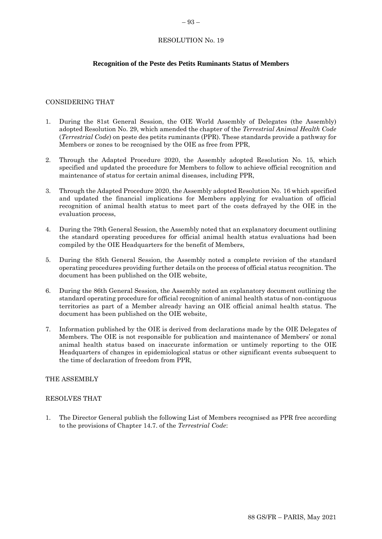#### <span id="page-32-0"></span>– 93 –

# RESOLUTION No. 19

# **Recognition of the Peste des Petits Ruminants Status of Members**

#### CONSIDERING THAT

- 1. During the 81st General Session, the OIE World Assembly of Delegates (the Assembly) adopted Resolution No. 29, which amended the chapter of the *Terrestrial Animal Health Code*  (*Terrestrial Code*) on peste des petits ruminants (PPR). These standards provide a pathway for Members or zones to be recognised by the OIE as free from PPR,
- 2. Through the Adapted Procedure 2020, the Assembly adopted Resolution No. 15, which specified and updated the procedure for Members to follow to achieve official recognition and maintenance of status for certain animal diseases, including PPR,
- 3. Through the Adapted Procedure 2020, the Assembly adopted Resolution No. 16 which specified and updated the financial implications for Members applying for evaluation of official recognition of animal health status to meet part of the costs defrayed by the OIE in the evaluation process,
- 4. During the 79th General Session, the Assembly noted that an explanatory document outlining the standard operating procedures for official animal health status evaluations had been compiled by the OIE Headquarters for the benefit of Members,
- 5. During the 85th General Session, the Assembly noted a complete revision of the standard operating procedures providing further details on the process of official status recognition. The document has been published on the OIE website,
- 6. During the 86th General Session, the Assembly noted an explanatory document outlining the standard operating procedure for official recognition of animal health status of non-contiguous territories as part of a Member already having an OIE official animal health status. The document has been published on the OIE website,
- 7. Information published by the OIE is derived from declarations made by the OIE Delegates of Members. The OIE is not responsible for publication and maintenance of Members' or zonal animal health status based on inaccurate information or untimely reporting to the OIE Headquarters of changes in epidemiological status or other significant events subsequent to the time of declaration of freedom from PPR,

#### THE ASSEMBLY

#### RESOLVES THAT

1. The Director General publish the following List of Members recognised as PPR free according to the provisions of Chapter 14.7. of the *Terrestrial Code*: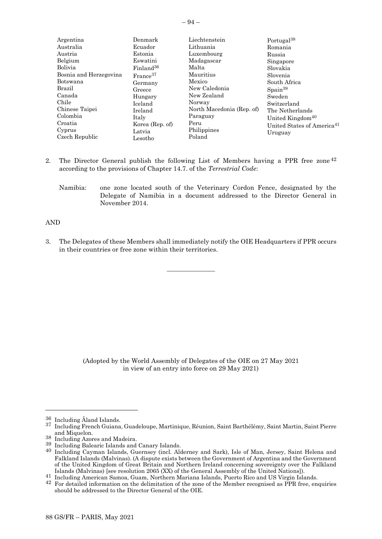| Denmark               | Liechtenstein                                                                    | Portugal <sup>38</sup>                 |
|-----------------------|----------------------------------------------------------------------------------|----------------------------------------|
| Ecuador               | Lithuania                                                                        | Romania                                |
| Estonia               | Luxembourg                                                                       | Russia                                 |
| Eswatini              | Madagascar                                                                       | Singapore                              |
| Finland <sup>36</sup> | Malta                                                                            | Slovakia                               |
|                       | Mauritius                                                                        | Slovenia                               |
|                       | Mexico                                                                           | South Africa                           |
| Greece                | New Caledonia                                                                    | $S_{\text{pain}}^{39}$                 |
|                       | New Zealand                                                                      | Sweden                                 |
| Iceland               | Norway                                                                           | Switzerland                            |
| Ireland               | North Macedonia (Rep. of)                                                        | The Netherlands                        |
|                       | Paraguay                                                                         | United Kingdom <sup>40</sup>           |
|                       | Peru                                                                             | United States of America <sup>41</sup> |
|                       | Philippines                                                                      | Uruguay                                |
| Lesotho               | Poland                                                                           |                                        |
|                       | France <sup>37</sup><br>Germany<br>Hungary<br>Italy<br>Korea (Rep. of)<br>Latvia |                                        |

- 2. The Director General publish the following List of Members having a PPR free zone<sup>42</sup> according to the provisions of Chapter 14.7. of the *Terrestrial Code*:
	- Namibia: one zone located south of the Veterinary Cordon Fence, designated by the Delegate of Namibia in a document addressed to the Director General in November 2014.

#### AND

3. The Delegates of these Members shall immediately notify the OIE Headquarters if PPR occurs in their countries or free zone within their territories.

 $\overline{\phantom{a}}$  , where  $\overline{\phantom{a}}$ 

<sup>36</sup> Including Åland Islands.

<sup>37</sup> Including French Guiana, Guadeloupe, Martinique, Réunion, Saint Barthélémy, Saint Martin, Saint Pierre and Miquelon.

<sup>38</sup> Including Azores and Madeira.

<sup>&</sup>lt;sup>39</sup> Including Balearic Islands and Canary Islands.

<sup>40</sup> Including Cayman Islands, Guernsey (incl. Alderney and Sark), Isle of Man, Jersey, Saint Helena and Falkland Islands (Malvinas). (A dispute exists between the Government of Argentina and the Government of the United Kingdom of Great Britain and Northern Ireland concerning sovereignty over the Falkland Islands (Malvinas) [see resolution 2065 (XX) of the General Assembly of the United Nations]).

<sup>41</sup> Including American Samoa, Guam, Northern Mariana Islands, Puerto Rico and US Virgin Islands.

<sup>&</sup>lt;sup>42</sup> For detailed information on the delimitation of the zone of the Member recognised as PPR free, enquiries should be addressed to the Director General of the OIE.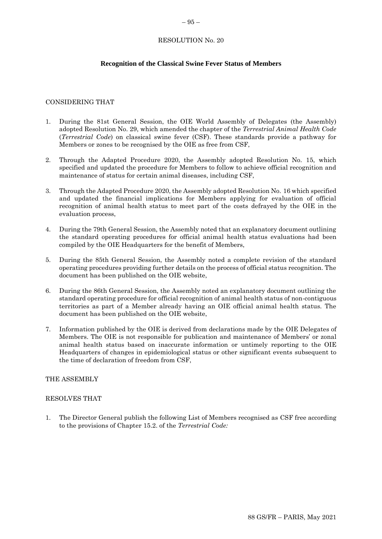#### <span id="page-34-0"></span>– 95 –

#### RESOLUTION No. 20

# **Recognition of the Classical Swine Fever Status of Members**

#### CONSIDERING THAT

- 1. During the 81st General Session, the OIE World Assembly of Delegates (the Assembly) adopted Resolution No. 29, which amended the chapter of the *Terrestrial Animal Health Code*  (*Terrestrial Code*) on classical swine fever (CSF). These standards provide a pathway for Members or zones to be recognised by the OIE as free from CSF,
- 2. Through the Adapted Procedure 2020, the Assembly adopted Resolution No. 15, which specified and updated the procedure for Members to follow to achieve official recognition and maintenance of status for certain animal diseases, including CSF,
- 3. Through the Adapted Procedure 2020, the Assembly adopted Resolution No. 16 which specified and updated the financial implications for Members applying for evaluation of official recognition of animal health status to meet part of the costs defrayed by the OIE in the evaluation process,
- 4. During the 79th General Session, the Assembly noted that an explanatory document outlining the standard operating procedures for official animal health status evaluations had been compiled by the OIE Headquarters for the benefit of Members,
- 5. During the 85th General Session, the Assembly noted a complete revision of the standard operating procedures providing further details on the process of official status recognition. The document has been published on the OIE website,
- 6. During the 86th General Session, the Assembly noted an explanatory document outlining the standard operating procedure for official recognition of animal health status of non-contiguous territories as part of a Member already having an OIE official animal health status. The document has been published on the OIE website,
- 7. Information published by the OIE is derived from declarations made by the OIE Delegates of Members. The OIE is not responsible for publication and maintenance of Members' or zonal animal health status based on inaccurate information or untimely reporting to the OIE Headquarters of changes in epidemiological status or other significant events subsequent to the time of declaration of freedom from CSF,

#### THE ASSEMBLY

#### RESOLVES THAT

1. The Director General publish the following List of Members recognised as CSF free according to the provisions of Chapter 15.2. of the *Terrestrial Code:*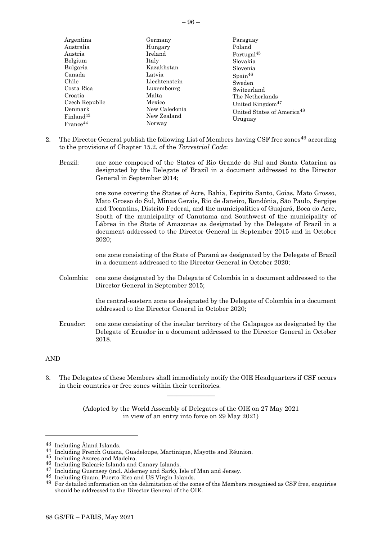| Argentina             | Germany       | Paraguay                               |
|-----------------------|---------------|----------------------------------------|
| Australia             | Hungary       | Poland                                 |
| Austria               | Ireland       | Portugal <sup>45</sup>                 |
| Belgium               | Italy         | Slovakia                               |
| Bulgaria              | Kazakhstan    | Slovenia                               |
| Canada                | Latvia        | $S_{\text{pain}}^{46}$                 |
| Chile                 | Liechtenstein | Sweden                                 |
| Costa Rica            | Luxembourg    | Switzerland                            |
| Croatia               | Malta         | The Netherlands                        |
| Czech Republic        | Mexico        | United Kingdom <sup>47</sup>           |
| Denmark               | New Caledonia | United States of America <sup>48</sup> |
| Finland <sup>43</sup> | New Zealand   | Uruguay                                |
| $France^{44}$         | Norway        |                                        |

- 2. The Director General publish the following List of Members having CSF free zones<sup>49</sup> according to the provisions of Chapter 15.2. of the *Terrestrial Code*:
	- Brazil: one zone composed of the States of Rio Grande do Sul and Santa Catarina as designated by the Delegate of Brazil in a document addressed to the Director General in September 2014;

one zone covering the States of Acre, Bahia, Espírito Santo, Goias, Mato Grosso, Mato Grosso do Sul, Minas Gerais, Rio de Janeiro, Rondônia, São Paulo, Sergipe and Tocantins, Distrito Federal, and the municipalities of Guajará, Boca do Acre, South of the municipality of Canutama and Southwest of the municipality of Lábrea in the State of Amazonas as designated by the Delegate of Brazil in a document addressed to the Director General in September 2015 and in October 2020;

one zone consisting of the State of Paraná as designated by the Delegate of Brazil in a document addressed to the Director General in October 2020;

Colombia: one zone designated by the Delegate of Colombia in a document addressed to the Director General in September 2015;

> the central-eastern zone as designated by the Delegate of Colombia in a document addressed to the Director General in October 2020;

Ecuador: one zone consisting of the insular territory of the Galapagos as designated by the Delegate of Ecuador in a document addressed to the Director General in October 2018.

#### AND

3. The Delegates of these Members shall immediately notify the OIE Headquarters if CSF occurs in their countries or free zones within their territories.  $\overline{\phantom{a}}$  , where  $\overline{\phantom{a}}$ 

<sup>43</sup> Including Åland Islands.

<sup>44</sup> Including French Guiana, Guadeloupe, Martinique, Mayotte and Réunion.

<sup>45</sup> Including Azores and Madeira.

<sup>46</sup> Including Balearic Islands and Canary Islands.<br>47 Including Cuernsey (incl. Aldermay and Soul).

Including Guernsey (incl. Alderney and Sark), Isle of Man and Jersey.

<sup>48</sup> Including Guam, Puerto Rico and US Virgin Islands.

<sup>&</sup>lt;sup>49</sup> For detailed information on the delimitation of the zones of the Members recognised as CSF free, enquiries should be addressed to the Director General of the OIE.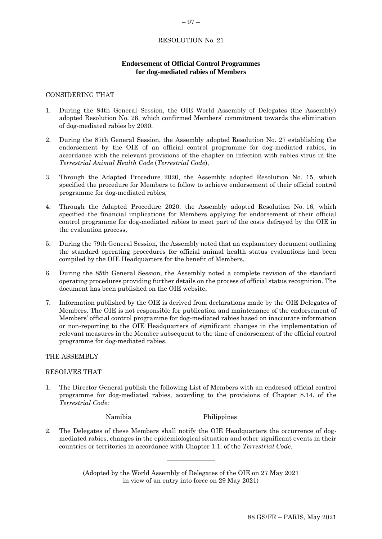# <span id="page-36-0"></span>**Endorsement of Official Control Programmes for dog-mediated rabies of Members**

#### CONSIDERING THAT

- 1. During the 84th General Session, the OIE World Assembly of Delegates (the Assembly) adopted Resolution No. 26, which confirmed Members' commitment towards the elimination of dog-mediated rabies by 2030,
- 2. During the 87th General Session, the Assembly adopted Resolution No. 27 establishing the endorsement by the OIE of an official control programme for dog-mediated rabies, in accordance with the relevant provisions of the chapter on infection with rabies virus in the *Terrestrial Animal Health Code* (*Terrestrial Code*),
- 3. Through the Adapted Procedure 2020, the Assembly adopted Resolution No. 15, which specified the procedure for Members to follow to achieve endorsement of their official control programme for dog-mediated rabies,
- 4. Through the Adapted Procedure 2020, the Assembly adopted Resolution No. 16, which specified the financial implications for Members applying for endorsement of their official control programme for dog-mediated rabies to meet part of the costs defrayed by the OIE in the evaluation process,
- 5. During the 79th General Session, the Assembly noted that an explanatory document outlining the standard operating procedures for official animal health status evaluations had been compiled by the OIE Headquarters for the benefit of Members,
- 6. During the 85th General Session, the Assembly noted a complete revision of the standard operating procedures providing further details on the process of official status recognition. The document has been published on the OIE website,
- 7. Information published by the OIE is derived from declarations made by the OIE Delegates of Members. The OIE is not responsible for publication and maintenance of the endorsement of Members' official control programme for dog-mediated rabies based on inaccurate information or non-reporting to the OIE Headquarters of significant changes in the implementation of relevant measures in the Member subsequent to the time of endorsement of the official control programme for dog-mediated rabies,

#### THE ASSEMBLY

#### RESOLVES THAT

1. The Director General publish the following List of Members with an endorsed official control programme for dog-mediated rabies, according to the provisions of Chapter 8.14. of the *Terrestrial Code*:

Namibia Philippines

2. The Delegates of these Members shall notify the OIE Headquarters the occurrence of dogmediated rabies, changes in the epidemiological situation and other significant events in their countries or territories in accordance with Chapter 1.1. of the *Terrestrial Code*.

> (Adopted by the World Assembly of Delegates of the OIE on 27 May 2021 in view of an entry into force on 29 May 2021)

\_\_\_\_\_\_\_\_\_\_\_\_\_\_\_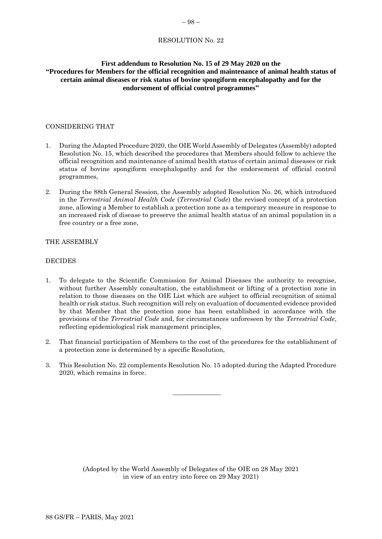# <span id="page-37-0"></span>**First addendum to Resolution No. 15 of 29 May 2020 on the "Procedures for Members for the official recognition and maintenance of animal health status of certain animal diseases or risk status of bovine spongiform encephalopathy and for the endorsement of official control programmes"**

# CONSIDERING THAT

- 1. During the Adapted Procedure 2020, the OIE World Assembly of Delegates (Assembly) adopted Resolution No. 15, which described the procedures that Members should follow to achieve the official recognition and maintenance of animal health status of certain animal diseases or risk status of bovine spongiform encephalopathy and for the endorsement of official control programmes,
- 2. During the 88th General Session, the Assembly adopted Resolution No. 26, which introduced in the *Terrestrial Animal Health Code* (*Terrestrial Code*) the revised concept of a protection zone, allowing a Member to establish a protection zone as a temporary measure in response to an increased risk of disease to preserve the animal health status of an animal population in a free country or a free zone,

#### THE ASSEMBLY

# DECIDES

- 1. To delegate to the Scientific Commission for Animal Diseases the authority to recognise, without further Assembly consultation, the establishment or lifting of a protection zone in relation to those diseases on the OIE List which are subject to official recognition of animal health or risk status. Such recognition will rely on evaluation of documented evidence provided by that Member that the protection zone has been established in accordance with the provisions of the *Terrestrial Code* and, for circumstances unforeseen by the *Terrestrial Code*, reflecting epidemiological risk management principles,
- 2. That financial participation of Members to the cost of the procedures for the establishment of a protection zone is determined by a specific Resolution,
- 3. This Resolution No. 22 complements Resolution No. 15 adopted during the Adapted Procedure 2020, which remains in force.

 $\overline{\phantom{a}}$  , where  $\overline{\phantom{a}}$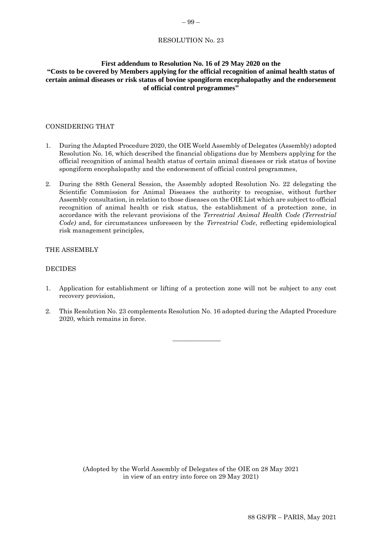# <span id="page-38-0"></span>**First addendum to Resolution No. 16 of 29 May 2020 on the "Costs to be covered by Members applying for the official recognition of animal health status of certain animal diseases or risk status of bovine spongiform encephalopathy and the endorsement of official control programmes"**

# CONSIDERING THAT

- 1. During the Adapted Procedure 2020, the OIE World Assembly of Delegates (Assembly) adopted Resolution No. 16, which described the financial obligations due by Members applying for the official recognition of animal health status of certain animal diseases or risk status of bovine spongiform encephalopathy and the endorsement of official control programmes,
- 2. During the 88th General Session, the Assembly adopted Resolution No. 22 delegating the Scientific Commission for Animal Diseases the authority to recognise, without further Assembly consultation, in relation to those diseases on the OIE List which are subject to official recognition of animal health or risk status, the establishment of a protection zone, in accordance with the relevant provisions of the *Terrestrial Animal Health Code (Terrestrial Code)* and, for circumstances unforeseen by the *Terrestrial Code*, reflecting epidemiological risk management principles,

#### THE ASSEMBLY

#### DECIDES

- 1. Application for establishment or lifting of a protection zone will not be subject to any cost recovery provision,
- 2. This Resolution No. 23 complements Resolution No. 16 adopted during the Adapted Procedure 2020, which remains in force.

 $\overline{\phantom{a}}$  , where  $\overline{\phantom{a}}$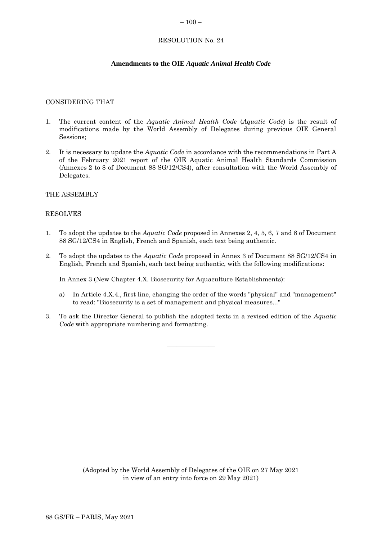#### <span id="page-39-0"></span> $-100-$

# RESOLUTION No. 24

# **Amendments to the OIE** *Aquatic Animal Health Code*

#### CONSIDERING THAT

- 1. The current content of the *Aquatic Animal Health Code* (*Aquatic Code*) is the result of modifications made by the World Assembly of Delegates during previous OIE General Sessions;
- 2. It is necessary to update the *Aquatic Code* in accordance with the recommendations in Part A of the February 2021 report of the OIE Aquatic Animal Health Standards Commission (Annexes 2 to 8 of Document 88 SG/12/CS4), after consultation with the World Assembly of Delegates.

#### THE ASSEMBLY

#### RESOLVES

- 1. To adopt the updates to the *Aquatic Code* proposed in Annexes 2, 4, 5, 6, 7 and 8 of Document 88 SG/12/CS4 in English, French and Spanish, each text being authentic.
- 2. To adopt the updates to the *Aquatic Code* proposed in Annex 3 of Document 88 SG/12/CS4 in English, French and Spanish, each text being authentic, with the following modifications:

In Annex 3 (New Chapter 4.X. Biosecurity for Aquaculture Establishments):

- a) In Article 4.X.4., first line, changing the order of the words "physical" and "management" to read: "Biosecurity is a set of management and physical measures..."
- 3. To ask the Director General to publish the adopted texts in a revised edition of the *Aquatic Code* with appropriate numbering and formatting.

 $\overline{\phantom{a}}$  , where  $\overline{\phantom{a}}$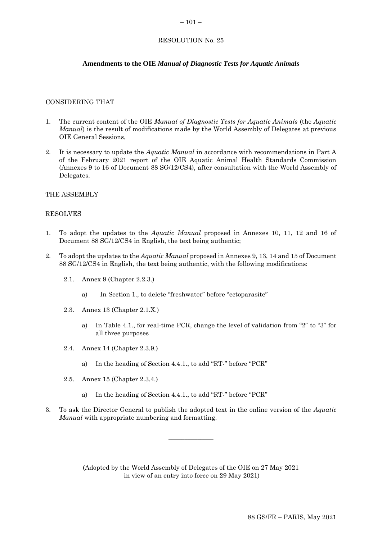#### <span id="page-40-0"></span> $-101-$

# RESOLUTION No. 25

# **Amendments to the OIE** *Manual of Diagnostic Tests for Aquatic Animals*

#### CONSIDERING THAT

- 1. The current content of the OIE *Manual of Diagnostic Tests for Aquatic Animals* (the *Aquatic Manual*) is the result of modifications made by the World Assembly of Delegates at previous OIE General Sessions,
- 2. It is necessary to update the *Aquatic Manual* in accordance with recommendations in Part A of the February 2021 report of the OIE Aquatic Animal Health Standards Commission (Annexes 9 to 16 of Document 88 SG/12/CS4), after consultation with the World Assembly of Delegates.

#### THE ASSEMBLY

#### RESOLVES

- 1. To adopt the updates to the *Aquatic Manual* proposed in Annexes 10, 11, 12 and 16 of Document 88 SG/12/CS4 in English, the text being authentic;
- 2. To adopt the updates to the *Aquatic Manual* proposed in Annexes 9, 13, 14 and 15 of Document 88 SG/12/CS4 in English, the text being authentic, with the following modifications:
	- 2.1. Annex 9 (Chapter 2.2.3.)
		- a) In Section 1., to delete "freshwater" before "ectoparasite"
	- 2.3. Annex 13 (Chapter 2.1.X.)
		- a) In Table 4.1., for real-time PCR, change the level of validation from "2" to "3" for all three purposes
	- 2.4. Annex 14 (Chapter 2.3.9.)
		- a) In the heading of Section 4.4.1., to add "RT-" before "PCR"
	- 2.5. Annex 15 (Chapter 2.3.4.)
		- a) In the heading of Section 4.4.1., to add "RT-" before "PCR"
- 3. To ask the Director General to publish the adopted text in the online version of the *Aquatic Manual* with appropriate numbering and formatting.

 $\overline{\phantom{a}}$  , where  $\overline{\phantom{a}}$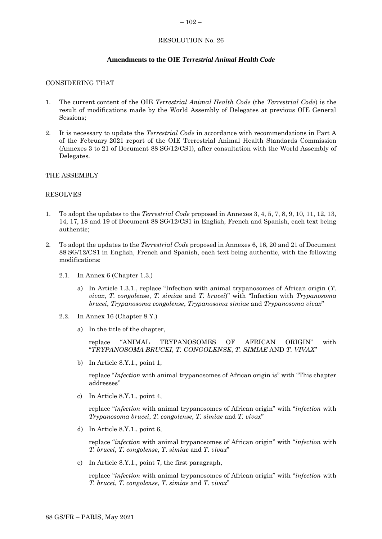#### <span id="page-41-0"></span> $-102-$

# RESOLUTION No. 26

# **Amendments to the OIE** *Terrestrial Animal Health Code*

#### CONSIDERING THAT

- 1. The current content of the OIE *Terrestrial Animal Health Code* (the *Terrestrial Code*) is the result of modifications made by the World Assembly of Delegates at previous OIE General Sessions;
- 2. It is necessary to update the *Terrestrial Code* in accordance with recommendations in Part A of the February 2021 report of the OIE Terrestrial Animal Health Standards Commission (Annexes 3 to 21 of Document 88 SG/12/CS1), after consultation with the World Assembly of Delegates.

#### THE ASSEMBLY

#### RESOLVES

- 1. To adopt the updates to the *Terrestrial Code* proposed in Annexes 3, 4, 5, 7, 8, 9, 10, 11, 12, 13, 14, 17, 18 and 19 of Document 88 SG/12/CS1 in English, French and Spanish, each text being authentic;
- 2. To adopt the updates to the *Terrestrial Code* proposed in Annexes 6, 16, 20 and 21 of Document 88 SG/12/CS1 in English, French and Spanish, each text being authentic, with the following modifications:
	- 2.1. In Annex 6 (Chapter 1.3.)
		- a) In Article 1.3.1., replace "Infection with animal trypanosomes of African origin (*T. vivax*, *T. congole*nse, *T. simia*e and *T. brucei*)" with "Infection with *Trypanosoma brucei*, *Trypanosoma congolense*, *Trypanosoma simiae* and *Trypanosoma vivax*"
	- 2.2. In Annex 16 (Chapter 8.Y.)
		- a) In the title of the chapter,

replace "ANIMAL TRYPANOSOMES OF AFRICAN ORIGIN" with "*TRYPANOSOMA BRUCEI*, *T. CONGOLENSE*, *T. SIMIAE* AND *T. VIVAX*"

b) In Article 8.Y.1., point 1,

replace "*Infection* with animal trypanosomes of African origin is" with "This chapter addresses"

c) In Article 8.Y.1., point 4,

replace "*infection* with animal trypanosomes of African origin" with "*infection* with *Trypanosoma brucei*, *T. congolense*, *T. simiae* and *T. vivax*"

d) In Article 8.Y.1., point 6,

replace "*infection* with animal trypanosomes of African origin" with "*infection* with *T. brucei*, *T. congolense*, *T. simiae* and *T. vivax*"

e) In Article 8.Y.1., point 7, the first paragraph,

replace "*infection* with animal trypanosomes of African origin" with "*infection* with *T. brucei*, *T. congolense*, *T. simiae* and *T. vivax*"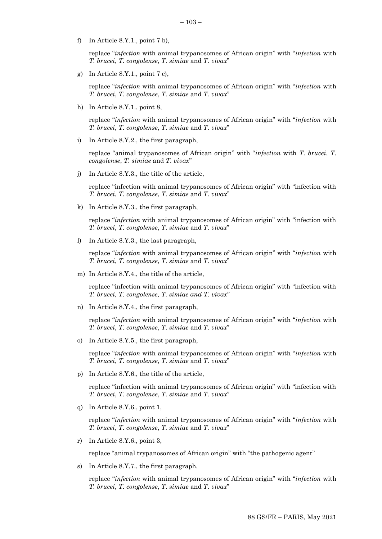- 
- f) In Article 8.Y.1., point 7 b),

replace "*infection* with animal trypanosomes of African origin" with "*infection* with *T. brucei*, *T. congolense*, *T. simiae* and *T. vivax*"

 $-103-$ 

g) In Article  $8.Y.1.,$  point  $7 c$ ,

replace "*infection* with animal trypanosomes of African origin" with "*infection* with *T. brucei*, *T. congolense*, *T. simiae* and *T. vivax*"

h) In Article 8.Y.1., point 8,

replace "*infection* with animal trypanosomes of African origin" with "*infection* with *T. brucei*, *T. congolense*, *T. simiae* and *T. vivax*"

i) In Article 8.Y.2., the first paragraph,

replace "animal trypanosomes of African origin" with "*infection* with *T. brucei*, *T. congolense*, *T. simiae* and *T. vivax*"

j) In Article 8.Y.3., the title of the article,

replace "infection with animal trypanosomes of African origin" with "infection with *T. brucei*, *T. congolense*, *T. simiae* and *T. vivax*"

k) In Article 8.Y.3., the first paragraph,

replace "*infection* with animal trypanosomes of African origin" with "infection with *T. brucei*, *T. congolense*, *T. simiae* and *T. vivax*"

l) In Article 8.Y.3., the last paragraph,

replace "*infection* with animal trypanosomes of African origin" with "*infection* with *T. brucei*, *T. congolense*, *T. simiae* and *T. vivax*"

m) In Article 8.Y.4., the title of the article,

replace "infection with animal trypanosomes of African origin" with "infection with *T. brucei, T. congolense, T. simiae and T. vivax*"

n) In Article 8.Y.4., the first paragraph,

replace "*infection* with animal trypanosomes of African origin" with "*infection* with *T. brucei*, *T. congolense*, *T. simiae* and *T. vivax*"

o) In Article 8.Y.5., the first paragraph,

replace "*infection* with animal trypanosomes of African origin" with "*infection* with *T. brucei*, *T. congolense*, *T. simiae* and *T. vivax*"

p) In Article 8.Y.6., the title of the article,

replace "infection with animal trypanosomes of African origin" with "infection with *T. brucei*, *T. congolense*, *T. simiae* and *T. vivax*"

q) In Article 8.Y.6., point 1,

replace "*infection* with animal trypanosomes of African origin" with "*infection* with *T. brucei*, *T. congolense*, *T. simiae* and *T. vivax*"

r) In Article 8.Y.6., point 3,

replace "animal trypanosomes of African origin" with "the pathogenic agent"

s) In Article 8.Y.7., the first paragraph,

replace "*infection* with animal trypanosomes of African origin" with "*infection* with *T. brucei*, *T. congolense*, *T. simiae* and *T. vivax*"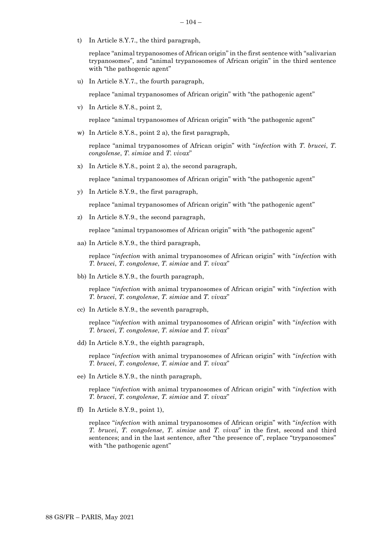t) In Article 8.Y.7., the third paragraph,

replace "animal trypanosomes of African origin" in the first sentence with "salivarian trypanosomes", and "animal trypanosomes of African origin" in the third sentence with "the pathogenic agent"

u) In Article 8.Y.7., the fourth paragraph,

replace "animal trypanosomes of African origin" with "the pathogenic agent"

v) In Article 8.Y.8., point 2,

replace "animal trypanosomes of African origin" with "the pathogenic agent"

w) In Article 8.Y.8., point 2 a), the first paragraph,

replace "animal trypanosomes of African origin" with "*infection* with *T. brucei*, *T. congolense*, *T. simiae* and *T. vivax*"

x) In Article 8.Y.8., point 2 a), the second paragraph,

replace "animal trypanosomes of African origin" with "the pathogenic agent"

y) In Article 8.Y.9., the first paragraph,

replace "animal trypanosomes of African origin" with "the pathogenic agent"

z) In Article 8.Y.9., the second paragraph,

replace "animal trypanosomes of African origin" with "the pathogenic agent"

aa) In Article 8.Y.9., the third paragraph,

replace "*infection* with animal trypanosomes of African origin" with "*infection* with *T. brucei*, *T. congolense*, *T. simiae* and *T. vivax*"

bb) In Article 8.Y.9., the fourth paragraph,

replace "*infection* with animal trypanosomes of African origin" with "*infection* with *T. brucei*, *T. congolense*, *T. simiae* and *T. vivax*"

cc) In Article 8.Y.9., the seventh paragraph,

replace "*infection* with animal trypanosomes of African origin" with "*infection* with *T. brucei*, *T. congolense*, *T. simiae* and *T. vivax*"

dd) In Article 8.Y.9., the eighth paragraph,

replace "*infection* with animal trypanosomes of African origin" with "*infection* with *T. brucei*, *T. congolense*, *T. simiae* and *T. vivax*"

ee) In Article 8.Y.9., the ninth paragraph,

replace "*infection* with animal trypanosomes of African origin" with "*infection* with *T. brucei*, *T. congolense*, *T. simiae* and *T. vivax*"

ff) In Article 8.Y.9., point 1),

replace "*infection* with animal trypanosomes of African origin" with "*infection* with *T. brucei*, *T. congolense*, *T. simiae* and *T. vivax*" in the first, second and third sentences; and in the last sentence, after "the presence of", replace "trypanosomes" with "the pathogenic agent"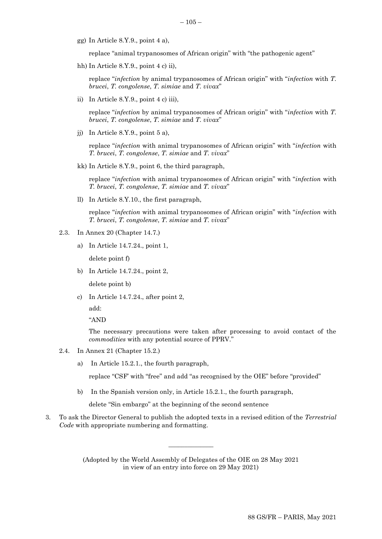- $-105-$
- gg) In Article 8.Y.9., point 4 a),

replace "animal trypanosomes of African origin" with "the pathogenic agent"

hh) In Article 8.Y.9., point 4 c) ii),

replace "*infection* by animal trypanosomes of African origin" with "*infection* with *T. brucei*, *T. congolense*, *T. simiae* and *T. vivax*"

ii) In Article 8.Y.9., point 4 c) iii),

replace "*infection* by animal trypanosomes of African origin" with "*infection* with *T. brucei*, *T. congolense*, *T. simiae* and *T. vivax*"

jj) In Article 8.Y.9., point 5 a),

replace "*infection* with animal trypanosomes of African origin" with "*infection* with *T. brucei*, *T. congolense*, *T. simiae* and *T. vivax*"

kk) In Article 8.Y.9., point 6, the third paragraph,

replace "*infection* with animal trypanosomes of African origin" with "*infection* with *T. brucei*, *T. congolense*, *T. simiae* and *T. vivax*"

ll) In Article 8.Y.10., the first paragraph,

replace "*infection* with animal trypanosomes of African origin" with "*infection* with *T. brucei*, *T. congolense*, *T. simiae* and *T. vivax*"

- 2.3. In Annex 20 (Chapter 14.7.)
	- a) In Article 14.7.24., point 1,

delete point f)

- b) In Article 14.7.24., point 2, delete point b)
- c) In Article 14.7.24., after point 2,

add:

"AND

The necessary precautions were taken after processing to avoid contact of the *commodities* with any potential source of PPRV."

- 2.4. In Annex 21 (Chapter 15.2.)
	- a) In Article 15.2.1., the fourth paragraph,

replace "CSF' with "free" and add "as recognised by the OIE" before "provided"

b) In the Spanish version only, in Article 15.2.1., the fourth paragraph,

delete "Sin embargo" at the beginning of the second sentence

3. To ask the Director General to publish the adopted texts in a revised edition of the *Terrestrial Code* with appropriate numbering and formatting.

> (Adopted by the World Assembly of Delegates of the OIE on 28 May 2021 in view of an entry into force on 29 May 2021)

 $\frac{1}{2}$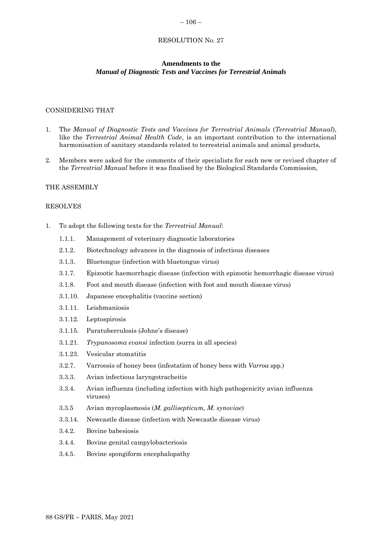#### <span id="page-45-0"></span> $-106-$

#### RESOLUTION No. 27

#### **Amendments to the** *Manual of Diagnostic Tests and Vaccines for Terrestrial Animals*

# CONSIDERING THAT

- 1. The *Manual of Diagnostic Tests and Vaccines for Terrestrial Animals* (*Terrestrial Manual*), like the *Terrestrial Animal Health Code*, is an important contribution to the international harmonisation of sanitary standards related to terrestrial animals and animal products,
- 2. Members were asked for the comments of their specialists for each new or revised chapter of the *Terrestrial Manual* before it was finalised by the Biological Standards Commission,

#### THE ASSEMBLY

#### RESOLVES

- 1. To adopt the following texts for the *Terrestrial Manual*:
	- 1.1.1. Management of veterinary diagnostic laboratories
	- 2.1.2. Biotechnology advances in the diagnosis of infectious diseases
	- 3.1.3. Bluetongue (infection with bluetongue virus)
	- 3.1.7. Epizootic haemorrhagic disease (infection with epizootic hemorrhagic disease virus)
	- 3.1.8. Foot and mouth disease (infection with foot and mouth disease virus)
	- 3.1.10. Japanese encephalitis (vaccine section)
	- 3.1.11. Leishmaniosis
	- 3.1.12. Leptospirosis
	- 3.1.15. Paratuberculosis (Johne's disease)
	- 3.1.21. *Trypanosoma evansi* infection (surra in all species)
	- 3.1.23. Vesicular stomatitis
	- 3.2.7. Varroosis of honey bees (infestation of honey bees with *Varroa* spp*.*)
	- 3.3.3. Avian infectious laryngotracheitis
	- 3.3.4. Avian influenza (including infection with high pathogenicity avian influenza viruses)
	- 3.3.5 Avian mycoplasmosis (*M. gallisepticum, M. synoviae*)
	- 3.3.14. Newcastle disease (infection with Newcastle disease virus)
	- 3.4.2. Bovine babesiosis
	- 3.4.4. Bovine genital campylobacteriosis
	- 3.4.5. Bovine spongiform encephalopathy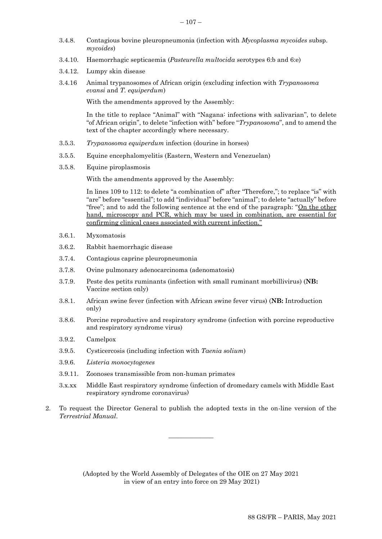- 3.4.8. Contagious bovine pleuropneumonia (infection with *Mycoplasma mycoides* subsp. *mycoides*)
- 3.4.10. Haemorrhagic septicaemia (*Pasteurella multocida* serotypes 6:b and 6:e)
- 3.4.12. Lumpy skin disease
- 3.4.16 Animal trypanosomes of African origin (excluding infection with *Trypanosoma evansi* and *T. equiperdum*)

With the amendments approved by the Assembly:

In the title to replace "Animal" with "Nagana: infections with salivarian", to delete "of African origin", to delete "infection with" before "*Trypanosoma*", and to amend the text of the chapter accordingly where necessary.

- 3.5.3. *Trypanosoma equiperdum* infection (dourine in horses)
- 3.5.5. Equine encephalomyelitis (Eastern, Western and Venezuelan)
- 3.5.8. Equine piroplasmosis

With the amendments approved by the Assembly:

In lines 109 to 112: to delete "a combination of" after "Therefore,"; to replace "is" with "are" before "essential"; to add "individual" before "animal"; to delete "actually" before "free"; and to add the following sentence at the end of the paragraph: "On the other hand, microscopy and PCR, which may be used in combination, are essential for confirming clinical cases associated with current infection."

- 3.6.1. Myxomatosis
- 3.6.2. Rabbit haemorrhagic disease
- 3.7.4. Contagious caprine pleuropneumonia
- 3.7.8. Ovine pulmonary adenocarcinoma (adenomatosis)
- 3.7.9. Peste des petits ruminants (infection with small ruminant morbillivirus) (**NB:** Vaccine section only)
- 3.8.1. African swine fever (infection with African swine fever virus) (**NB:** Introduction only)
- 3.8.6. Porcine reproductive and respiratory syndrome (infection with porcine reproductive and respiratory syndrome virus)
- 3.9.2. Camelpox
- 3.9.5. Cysticercosis (including infection with *Taenia solium*)
- 3.9.6. *Listeria monocytogenes*
- 3.9.11. Zoonoses transmissible from non-human primates
- 3.x.xx Middle East respiratory syndrome (infection of dromedary camels with Middle East respiratory syndrome coronavirus)
- 2. To request the Director General to publish the adopted texts in the on-line version of the *Terrestrial Manual*.

 $\overline{\phantom{a}}$  , where  $\overline{\phantom{a}}$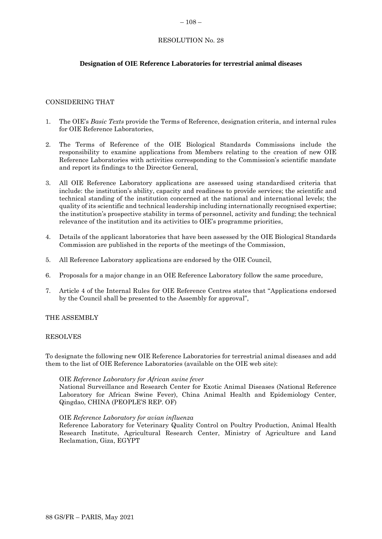#### <span id="page-47-0"></span> $-108-$

# RESOLUTION No. 28

# **Designation of OIE Reference Laboratories for terrestrial animal diseases**

# CONSIDERING THAT

- 1. The OIE's *Basic Texts* provide the Terms of Reference, designation criteria, and internal rules for OIE Reference Laboratories,
- 2. The Terms of Reference of the OIE Biological Standards Commissions include the responsibility to examine applications from Members relating to the creation of new OIE Reference Laboratories with activities corresponding to the Commission's scientific mandate and report its findings to the Director General,
- 3. All OIE Reference Laboratory applications are assessed using standardised criteria that include: the institution's ability, capacity and readiness to provide services; the scientific and technical standing of the institution concerned at the national and international levels; the quality of its scientific and technical leadership including internationally recognised expertise; the institution's prospective stability in terms of personnel, activity and funding; the technical relevance of the institution and its activities to OIE's programme priorities,
- 4. Details of the applicant laboratories that have been assessed by the OIE Biological Standards Commission are published in the reports of the meetings of the Commission,
- 5. All Reference Laboratory applications are endorsed by the OIE Council,
- 6. Proposals for a major change in an OIE Reference Laboratory follow the same procedure,
- 7. Article 4 of the Internal Rules for OIE Reference Centres states that "Applications endorsed by the Council shall be presented to the Assembly for approval",

#### THE ASSEMBLY

#### RESOLVES

To designate the following new OIE Reference Laboratories for terrestrial animal diseases and add them to the list of OIE Reference Laboratories (available on the OIE web site):

#### OIE *Reference Laboratory for African swine fever*

National Surveillance and Research Center for Exotic Animal Diseases (National Reference Laboratory for African Swine Fever), China Animal Health and Epidemiology Center, Qingdao, CHINA (PEOPLE'S REP. OF)

#### OIE *Reference Laboratory for avian influenza*

Reference Laboratory for Veterinary Quality Control on Poultry Production, Animal Health Research Institute, Agricultural Research Center, Ministry of Agriculture and Land Reclamation, Giza, EGYPT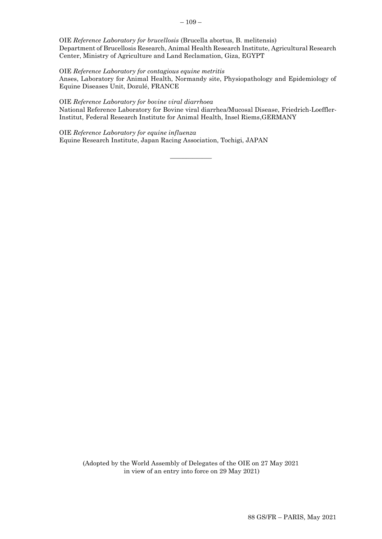OIE *Reference Laboratory for brucellosis* (Brucella abortus, B. melitensis) Department of Brucellosis Research, Animal Health Research Institute, Agricultural Research Center, Ministry of Agriculture and Land Reclamation, Giza, EGYPT

OIE *Reference Laboratory for contagious equine metritis* Anses, Laboratory for Animal Health, Normandy site, Physiopathology and Epidemiology of Equine Diseases Unit, Dozulé, FRANCE

#### OIE *Reference Laboratory for bovine viral diarrhoea* National Reference Laboratory for Bovine viral diarrhea/Mucosal Disease, Friedrich-Loeffler-Institut, Federal Research Institute for Animal Health, Insel Riems,GERMANY

OIE *Reference Laboratory for equine influenza* Equine Research Institute, Japan Racing Association, Tochigi, JAPAN

 $\overline{\phantom{a}}$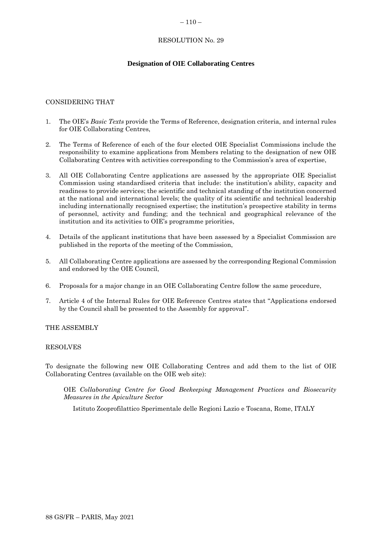#### <span id="page-49-0"></span> $-110-$

# RESOLUTION No. 29

# **Designation of OIE Collaborating Centres**

# CONSIDERING THAT

- 1. The OIE's *Basic Texts* provide the Terms of Reference, designation criteria, and internal rules for OIE Collaborating Centres,
- 2. The Terms of Reference of each of the four elected OIE Specialist Commissions include the responsibility to examine applications from Members relating to the designation of new OIE Collaborating Centres with activities corresponding to the Commission's area of expertise,
- 3. All OIE Collaborating Centre applications are assessed by the appropriate OIE Specialist Commission using standardised criteria that include: the institution's ability, capacity and readiness to provide services; the scientific and technical standing of the institution concerned at the national and international levels; the quality of its scientific and technical leadership including internationally recognised expertise; the institution's prospective stability in terms of personnel, activity and funding; and the technical and geographical relevance of the institution and its activities to OIE's programme priorities,
- 4. Details of the applicant institutions that have been assessed by a Specialist Commission are published in the reports of the meeting of the Commission,
- 5. All Collaborating Centre applications are assessed by the corresponding Regional Commission and endorsed by the OIE Council,
- 6. Proposals for a major change in an OIE Collaborating Centre follow the same procedure,
- 7. Article 4 of the Internal Rules for OIE Reference Centres states that "Applications endorsed by the Council shall be presented to the Assembly for approval".

# THE ASSEMBLY

#### RESOLVES

To designate the following new OIE Collaborating Centres and add them to the list of OIE Collaborating Centres (available on the OIE web site):

OIE *Collaborating Centre for Good Beekeeping Management Practices and Biosecurity Measures in the Apiculture Sector*

Istituto Zooprofilattico Sperimentale delle Regioni Lazio e Toscana, Rome, ITALY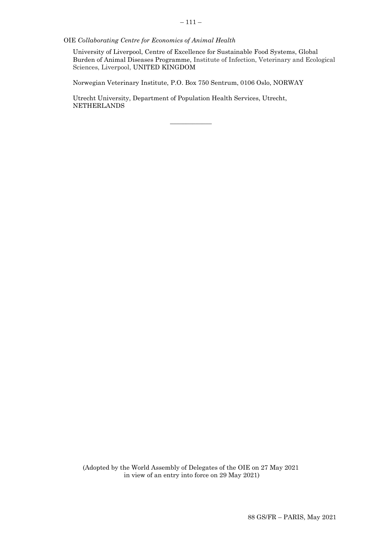OIE *Collaborating Centre for Economics of Animal Health*

University of Liverpool, Centre of Excellence for Sustainable Food Systems, Global Burden of Animal Diseases Programme, Institute of Infection, Veterinary and Ecological Sciences, Liverpool, UNITED KINGDOM

Norwegian Veterinary Institute, P.O. Box 750 Sentrum, 0106 Oslo, NORWAY

 $\overline{\phantom{a}}$  ,  $\overline{\phantom{a}}$  ,  $\overline{\phantom{a}}$  ,  $\overline{\phantom{a}}$  ,  $\overline{\phantom{a}}$  ,  $\overline{\phantom{a}}$  ,  $\overline{\phantom{a}}$  ,  $\overline{\phantom{a}}$  ,  $\overline{\phantom{a}}$  ,  $\overline{\phantom{a}}$  ,  $\overline{\phantom{a}}$  ,  $\overline{\phantom{a}}$  ,  $\overline{\phantom{a}}$  ,  $\overline{\phantom{a}}$  ,  $\overline{\phantom{a}}$  ,  $\overline{\phantom{a}}$ 

Utrecht University, Department of Population Health Services, Utrecht, NETHERLANDS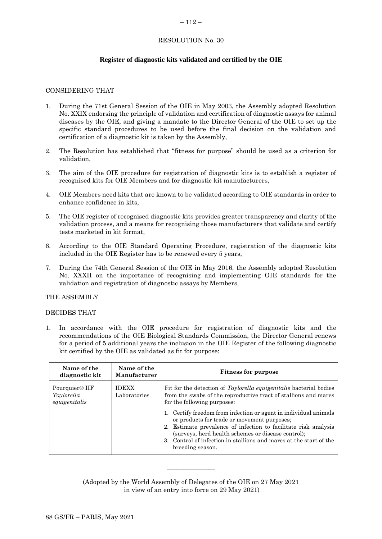#### <span id="page-51-0"></span> $-112-$

# RESOLUTION No. 30

# **Register of diagnostic kits validated and certified by the OIE**

# CONSIDERING THAT

- 1. During the 71st General Session of the OIE in May 2003, the Assembly adopted Resolution No. XXIX endorsing the principle of validation and certification of diagnostic assays for animal diseases by the OIE, and giving a mandate to the Director General of the OIE to set up the specific standard procedures to be used before the final decision on the validation and certification of a diagnostic kit is taken by the Assembly,
- 2. The Resolution has established that "fitness for purpose" should be used as a criterion for validation,
- 3. The aim of the OIE procedure for registration of diagnostic kits is to establish a register of recognised kits for OIE Members and for diagnostic kit manufacturers,
- 4. OIE Members need kits that are known to be validated according to OIE standards in order to enhance confidence in kits,
- 5. The OIE register of recognised diagnostic kits provides greater transparency and clarity of the validation process, and a means for recognising those manufacturers that validate and certify tests marketed in kit format,
- 6. According to the OIE Standard Operating Procedure, registration of the diagnostic kits included in the OIE Register has to be renewed every 5 years,
- 7. During the 74th General Session of the OIE in May 2016, the Assembly adopted Resolution No. XXXII on the importance of recognising and implementing OIE standards for the validation and registration of diagnostic assays by Members,

#### THE ASSEMBLY

#### DECIDES THAT

1. In accordance with the OIE procedure for registration of diagnostic kits and the recommendations of the OIE Biological Standards Commission, the Director General renews for a period of 5 additional years the inclusion in the OIE Register of the following diagnostic kit certified by the OIE as validated as fit for purpose:

| Name of the<br>diagnostic kit                             | Name of the<br>Manufacturer  | <b>Fitness for purpose</b>                                                                                                                                                                                                                                                                                                                                                                                                                                                                              |
|-----------------------------------------------------------|------------------------------|---------------------------------------------------------------------------------------------------------------------------------------------------------------------------------------------------------------------------------------------------------------------------------------------------------------------------------------------------------------------------------------------------------------------------------------------------------------------------------------------------------|
| Pourquier <sup>®</sup> IIF<br>Taylorella<br>equigenitalis | <b>IDEXX</b><br>Laboratories | Fit for the detection of Taylorella equigenitalis bacterial bodies<br>from the swabs of the reproductive tract of stallions and mares<br>for the following purposes:<br>Certify freedom from infection or agent in individual animals<br>or products for trade or movement purposes;<br>2. Estimate prevalence of infection to facilitate risk analysis<br>(surveys, herd health schemes or disease control);<br>3. Control of infection in stallions and mares at the start of the<br>breeding season. |

(Adopted by the World Assembly of Delegates of the OIE on 27 May 2021 in view of an entry into force on 29 May 2021)

 $\overline{\phantom{a}}$  , where  $\overline{\phantom{a}}$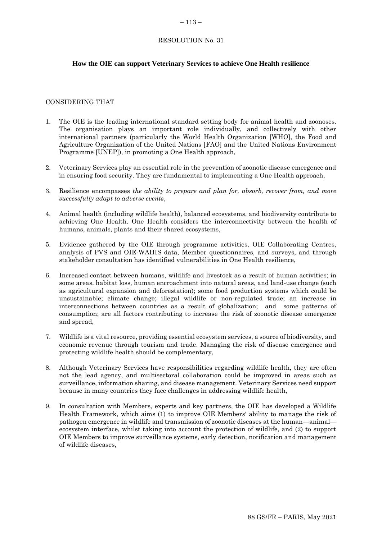#### <span id="page-52-0"></span> $-113-$

# RESOLUTION No. 31

# **How the OIE can support Veterinary Services to achieve One Health resilience**

# CONSIDERING THAT

- 1. The OIE is the leading international standard setting body for animal health and zoonoses. The organisation plays an important role individually, and collectively with other international partners (particularly the World Health Organization [WHO], the Food and Agriculture Organization of the United Nations [FAO] and the United Nations Environment Programme [UNEP]), in promoting a One Health approach,
- 2. Veterinary Services play an essential role in the prevention of zoonotic disease emergence and in ensuring food security. They are fundamental to implementing a One Health approach,
- 3. Resilience encompasses *the ability to prepare and plan for, absorb, recover from, and more successfully adapt to adverse events*,
- 4. Animal health (including wildlife health), balanced ecosystems, and biodiversity contribute to achieving One Health. One Health considers the interconnectivity between the health of humans, animals, plants and their shared ecosystems,
- 5. Evidence gathered by the OIE through programme activities, OIE Collaborating Centres, analysis of PVS and OIE-WAHIS data, Member questionnaires, and surveys, and through stakeholder consultation has identified vulnerabilities in One Health resilience,
- 6. Increased contact between humans, wildlife and livestock as a result of human activities; in some areas, habitat loss, human encroachment into natural areas, and land-use change (such as agricultural expansion and deforestation); some food production systems which could be unsustainable; climate change; illegal wildlife or non-regulated trade; an increase in interconnections between countries as a result of globalization; and some patterns of consumption; are all factors contributing to increase the risk of zoonotic disease emergence and spread,
- 7. Wildlife is a vital resource, providing essential ecosystem services, a source of biodiversity, and economic revenue through tourism and trade. Managing the risk of disease emergence and protecting wildlife health should be complementary,
- 8. Although Veterinary Services have responsibilities regarding wildlife health, they are often not the lead agency, and multisectoral collaboration could be improved in areas such as surveillance, information sharing, and disease management. Veterinary Services need support because in many countries they face challenges in addressing wildlife health,
- 9. In consultation with Members, experts and key partners, the OIE has developed a Wildlife Health Framework, which aims (1) to improve OIE Members' ability to manage the risk of pathogen emergence in wildlife and transmission of zoonotic diseases at the human—animal ecosystem interface, whilst taking into account the protection of wildlife, and (2) to support OIE Members to improve surveillance systems, early detection, notification and management of wildlife diseases,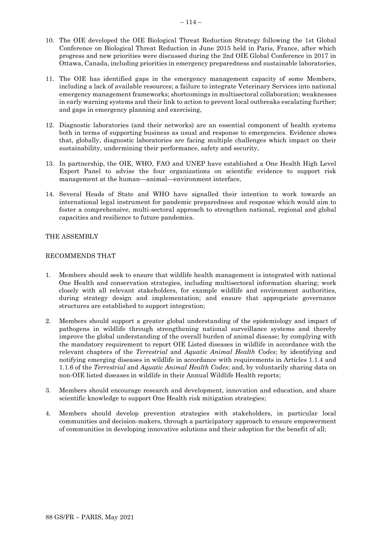- 10. The OIE developed the OIE Biological Threat Reduction Strategy following the 1st Global Conference on Biological Threat Reduction in June 2015 held in Paris, France, after which progress and new priorities were discussed during the 2nd OIE Global Conference in 2017 in Ottawa, Canada, including priorities in emergency preparedness and sustainable laboratories,
- 11. The OIE has identified gaps in the emergency management capacity of some Members, including a lack of available resources; a failure to integrate Veterinary Services into national emergency management frameworks; shortcomings in multisectoral collaboration; weaknesses in early warning systems and their link to action to prevent local outbreaks escalating further; and gaps in emergency planning and exercising,
- 12. Diagnostic laboratories (and their networks) are an essential component of health systems both in terms of supporting business as usual and response to emergencies. Evidence shows that, globally, diagnostic laboratories are facing multiple challenges which impact on their sustainability, undermining their performance, safety and security,
- 13. In partnership, the OIE, WHO, FAO and UNEP have established a One Health High Level Expert Panel to advise the four organizations on scientific evidence to support risk management at the human—animal—environment interface,
- 14. Several Heads of State and WHO have signalled their intention to work towards an international legal instrument for pandemic preparedness and response which would aim to foster a comprehensive, multi-sectoral approach to strengthen national, regional and global capacities and resilience to future pandemics.

# THE ASSEMBLY

# RECOMMENDS THAT

- 1. Members should seek to ensure that wildlife health management is integrated with national One Health and conservation strategies, including multisectoral information sharing; work closely with all relevant stakeholders, for example wildlife and environment authorities, during strategy design and implementation; and ensure that appropriate governance structures are established to support integration;
- 2. Members should support a greater global understanding of the epidemiology and impact of pathogens in wildlife through strengthening national surveillance systems and thereby improve the global understanding of the overall burden of animal disease; by complying with the mandatory requirement to report OIE Listed diseases in wildlife in accordance with the relevant chapters of the *Terrestrial* and *Aquatic Animal Health Codes*; by identifying and notifying emerging diseases in wildlife in accordance with requirements in Articles 1.1.4 and 1.1.6 of the *Terrestrial* and *Aquatic Animal Health Codes*; and, by voluntarily sharing data on non-OIE listed diseases in wildlife in their Annual Wildlife Health reports;
- 3. Members should encourage research and development, innovation and education, and share scientific knowledge to support One Health risk mitigation strategies;
- 4. Members should develop prevention strategies with stakeholders, in particular local communities and decision-makers, through a participatory approach to ensure empowerment of communities in developing innovative solutions and their adoption for the benefit of all;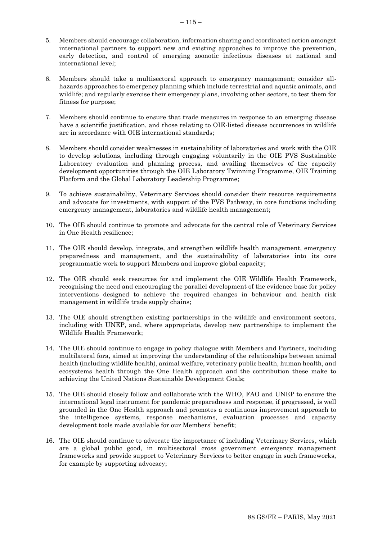- 5. Members should encourage collaboration, information sharing and coordinated action amongst international partners to support new and existing approaches to improve the prevention, early detection, and control of emerging zoonotic infectious diseases at national and international level;
- 6. Members should take a multisectoral approach to emergency management; consider allhazards approaches to emergency planning which include terrestrial and aquatic animals, and wildlife; and regularly exercise their emergency plans, involving other sectors, to test them for fitness for purpose;
- 7. Members should continue to ensure that trade measures in response to an emerging disease have a scientific justification, and those relating to OIE-listed disease occurrences in wildlife are in accordance with OIE international standards;
- 8. Members should consider weaknesses in sustainability of laboratories and work with the OIE to develop solutions, including through engaging voluntarily in the OIE PVS Sustainable Laboratory evaluation and planning process, and availing themselves of the capacity development opportunities through the OIE Laboratory Twinning Programme, OIE Training Platform and the Global Laboratory Leadership Programme;
- 9. To achieve sustainability, Veterinary Services should consider their resource requirements and advocate for investments, with support of the PVS Pathway, in core functions including emergency management, laboratories and wildlife health management;
- 10. The OIE should continue to promote and advocate for the central role of Veterinary Services in One Health resilience;
- 11. The OIE should develop, integrate, and strengthen wildlife health management, emergency preparedness and management, and the sustainability of laboratories into its core programmatic work to support Members and improve global capacity;
- 12. The OIE should seek resources for and implement the OIE Wildlife Health Framework, recognising the need and encouraging the parallel development of the evidence base for policy interventions designed to achieve the required changes in behaviour and health risk management in wildlife trade supply chains;
- 13. The OIE should strengthen existing partnerships in the wildlife and environment sectors, including with UNEP, and, where appropriate, develop new partnerships to implement the Wildlife Health Framework;
- 14. The OIE should continue to engage in policy dialogue with Members and Partners, including multilateral fora, aimed at improving the understanding of the relationships between animal health (including wildlife health), animal welfare, veterinary public health, human health, and ecosystems health through the One Health approach and the contribution these make to achieving the United Nations Sustainable Development Goals;
- 15. The OIE should closely follow and collaborate with the WHO, FAO and UNEP to ensure the international legal instrument for pandemic preparedness and response, if progressed, is well grounded in the One Health approach and promotes a continuous improvement approach to the intelligence systems, response mechanisms, evaluation processes and capacity development tools made available for our Members' benefit;
- 16. The OIE should continue to advocate the importance of including Veterinary Services, which are a global public good, in multisectoral cross government emergency management frameworks and provide support to Veterinary Services to better engage in such frameworks, for example by supporting advocacy;